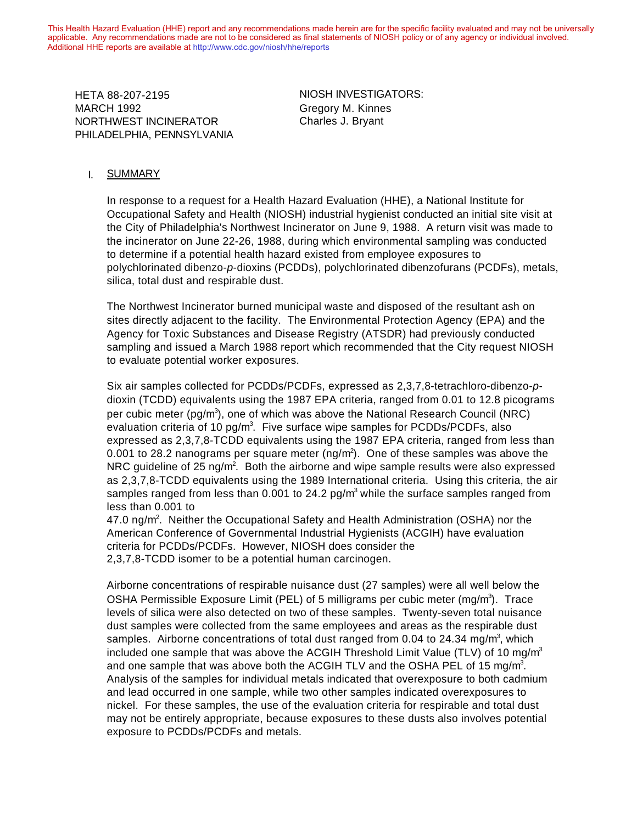This Health Hazard Evaluation (HHE) report and any recommendations made herein are for the specific facility evaluated and may not be universally applicable. Any recommendations made are not to be considered as final statements of NIOSH policy or of any agency or individual involved. Additional HHE reports are available at http://www.cdc.gov/niosh/hhe/reports Additional HHE reports are available at [http://www.cdc.gov/niosh/hhe/reports](http://www.cdc.gov/niosh/hhe)

HETA 88-207-2195 **NIOSH INVESTIGATORS:** NORTHWEST INCINERATOR Charles J. Bryant PHILADELPHIA, PENNSYLVANIA HETA 88-207-2195 MARCH 1992

Gregory M. Kinnes

### I. SUMMARY

In response to a request for a Health Hazard Evaluation (HHE), a National Institute for Occupational Safety and Health (NIOSH) industrial hygienist conducted an initial site visit at the City of Philadelphia's Northwest Incinerator on June 9, 1988. A return visit was made to the incinerator on June 22-26, 1988, during which environmental sampling was conducted to determine if a potential health hazard existed from employee exposures to polychlorinated dibenzo-*p*-dioxins (PCDDs), polychlorinated dibenzofurans (PCDFs), metals, silica, total dust and respirable dust.

The Northwest Incinerator burned municipal waste and disposed of the resultant ash on sites directly adjacent to the facility. The Environmental Protection Agency (EPA) and the Agency for Toxic Substances and Disease Registry (ATSDR) had previously conducted sampling and issued a March 1988 report which recommended that the City request NIOSH to evaluate potential worker exposures.

Six air samples collected for PCDDs/PCDFs, expressed as 2,3,7,8-tetrachloro-dibenzo-*p*dioxin (TCDD) equivalents using the 1987 EPA criteria, ranged from 0.01 to 12.8 picograms per cubic meter (pg/m<sup>3</sup>), one of which was above the National Research Council (NRC) evaluation criteria of 10 pg/m<sup>3</sup>. Five surface wipe samples for PCDDs/PCDFs, also expressed as 2,3,7,8-TCDD equivalents using the 1987 EPA criteria, ranged from less than 0.001 to 28.2 nanograms per square meter (ng/m<sup>2</sup>). One of these samples was above the NRC guideline of 25 ng/m<sup>2</sup>. Both the airborne and wipe sample results were also expressed as 2,3,7,8-TCDD equivalents using the 1989 International criteria. Using this criteria, the air samples ranged from less than 0.001 to 24.2 pg/m<sup>3</sup> while the surface samples ranged from less than 0.001 to

47.0 ng/m<sup>2</sup>. Neither the Occupational Safety and Health Administration (OSHA) nor the American Conference of Governmental Industrial Hygienists (ACGIH) have evaluation criteria for PCDDs/PCDFs. However, NIOSH does consider the 2,3,7,8-TCDD isomer to be a potential human carcinogen.

Airborne concentrations of respirable nuisance dust (27 samples) were all well below the OSHA Permissible Exposure Limit (PEL) of 5 milligrams per cubic meter (mg/m<sup>3</sup>). Trace levels of silica were also detected on two of these samples. Twenty-seven total nuisance dust samples were collected from the same employees and areas as the respirable dust samples. Airborne concentrations of total dust ranged from 0.04 to 24.34 mg/m<sup>3</sup>, which included one sample that was above the ACGIH Threshold Limit Value (TLV) of 10 mg/m<sup>3</sup> and one sample that was above both the ACGIH TLV and the OSHA PEL of 15 mg/m<sup>3</sup>. Analysis of the samples for individual metals indicated that overexposure to both cadmium and lead occurred in one sample, while two other samples indicated overexposures to nickel. For these samples, the use of the evaluation criteria for respirable and total dust may not be entirely appropriate, because exposures to these dusts also involves potential exposure to PCDDs/PCDFs and metals.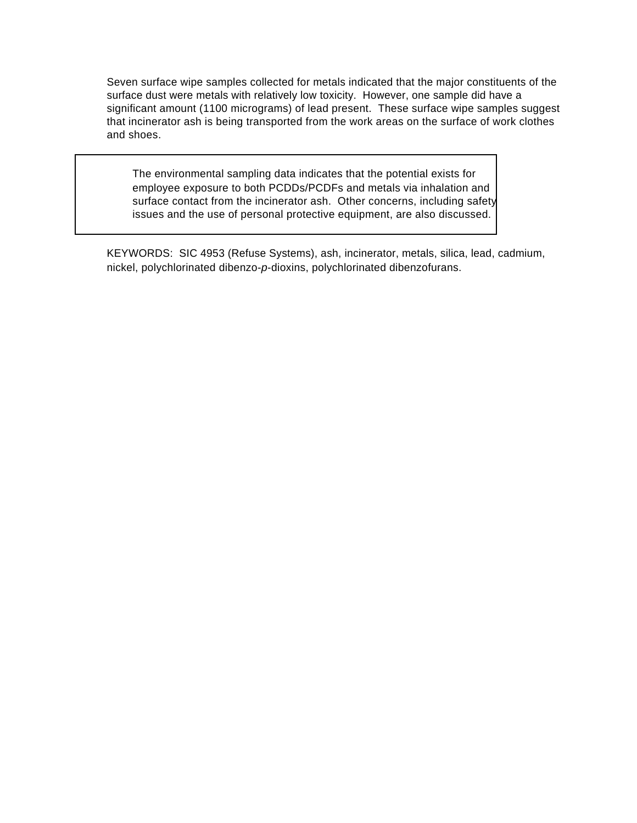Seven surface wipe samples collected for metals indicated that the major constituents of the surface dust were metals with relatively low toxicity. However, one sample did have a significant amount (1100 micrograms) of lead present. These surface wipe samples suggest that incinerator ash is being transported from the work areas on the surface of work clothes and shoes.

The environmental sampling data indicates that the potential exists for employee exposure to both PCDDs/PCDFs and metals via inhalation and surface contact from the incinerator ash. Other concerns, including safety issues and the use of personal protective equipment, are also discussed.

KEYWORDS: SIC 4953 (Refuse Systems), ash, incinerator, metals, silica, lead, cadmium, nickel, polychlorinated dibenzo-*p*-dioxins, polychlorinated dibenzofurans.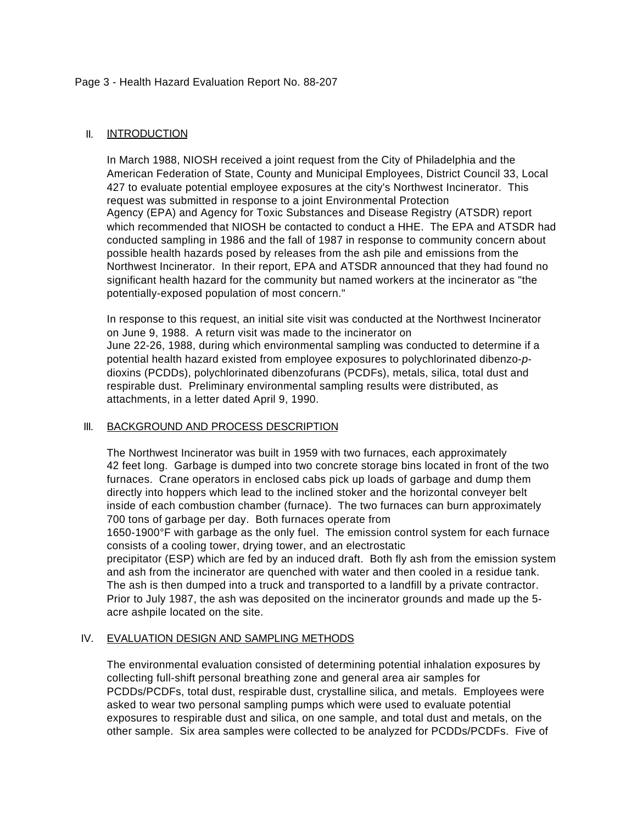### Page 3 - Health Hazard Evaluation Report No. 88-207

## II. INTRODUCTION

In March 1988, NIOSH received a joint request from the City of Philadelphia and the American Federation of State, County and Municipal Employees, District Council 33, Local 427 to evaluate potential employee exposures at the city's Northwest Incinerator. This request was submitted in response to a joint Environmental Protection Agency (EPA) and Agency for Toxic Substances and Disease Registry (ATSDR) report which recommended that NIOSH be contacted to conduct a HHE. The EPA and ATSDR had conducted sampling in 1986 and the fall of 1987 in response to community concern about possible health hazards posed by releases from the ash pile and emissions from the Northwest Incinerator. In their report, EPA and ATSDR announced that they had found no significant health hazard for the community but named workers at the incinerator as "the potentially-exposed population of most concern."

In response to this request, an initial site visit was conducted at the Northwest Incinerator on June 9, 1988. A return visit was made to the incinerator on June 22-26, 1988, during which environmental sampling was conducted to determine if a potential health hazard existed from employee exposures to polychlorinated dibenzo-*p*dioxins (PCDDs), polychlorinated dibenzofurans (PCDFs), metals, silica, total dust and respirable dust. Preliminary environmental sampling results were distributed, as attachments, in a letter dated April 9, 1990.

## III. BACKGROUND AND PROCESS DESCRIPTION

The Northwest Incinerator was built in 1959 with two furnaces, each approximately 42 feet long. Garbage is dumped into two concrete storage bins located in front of the two furnaces. Crane operators in enclosed cabs pick up loads of garbage and dump them directly into hoppers which lead to the inclined stoker and the horizontal conveyer belt inside of each combustion chamber (furnace). The two furnaces can burn approximately 700 tons of garbage per day. Both furnaces operate from

1650-1900°F with garbage as the only fuel. The emission control system for each furnace consists of a cooling tower, drying tower, and an electrostatic

precipitator (ESP) which are fed by an induced draft. Both fly ash from the emission system and ash from the incinerator are quenched with water and then cooled in a residue tank. The ash is then dumped into a truck and transported to a landfill by a private contractor. Prior to July 1987, the ash was deposited on the incinerator grounds and made up the 5 acre ashpile located on the site.

## IV. EVALUATION DESIGN AND SAMPLING METHODS

The environmental evaluation consisted of determining potential inhalation exposures by collecting full-shift personal breathing zone and general area air samples for PCDDs/PCDFs, total dust, respirable dust, crystalline silica, and metals. Employees were asked to wear two personal sampling pumps which were used to evaluate potential exposures to respirable dust and silica, on one sample, and total dust and metals, on the other sample. Six area samples were collected to be analyzed for PCDDs/PCDFs. Five of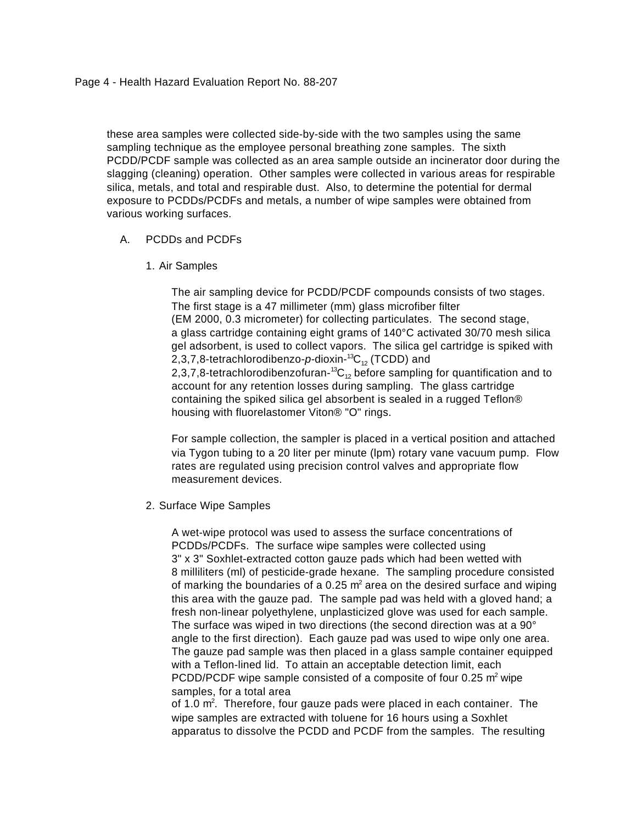these area samples were collected side-by-side with the two samples using the same sampling technique as the employee personal breathing zone samples. The sixth PCDD/PCDF sample was collected as an area sample outside an incinerator door during the slagging (cleaning) operation. Other samples were collected in various areas for respirable silica, metals, and total and respirable dust. Also, to determine the potential for dermal exposure to PCDDs/PCDFs and metals, a number of wipe samples were obtained from various working surfaces.

## A. PCDDs and PCDFs

1. Air Samples

The air sampling device for PCDD/PCDF compounds consists of two stages. The first stage is a 47 millimeter (mm) glass microfiber filter (EM 2000, 0.3 micrometer) for collecting particulates. The second stage, a glass cartridge containing eight grams of 140°C activated 30/70 mesh silica gel adsorbent, is used to collect vapors. The silica gel cartridge is spiked with 2,3,7,8-tetrachlorodibenzo-p-dioxin-<sup>13</sup>C<sub>12</sub> (TCDD) and 2,3,7,8-tetrachlorodibenzofuran-<sup>13</sup>C<sub>12</sub> before sampling for quantification and to account for any retention losses during sampling. The glass cartridge containing the spiked silica gel absorbent is sealed in a rugged Teflon® housing with fluorelastomer Viton® "O" rings.

For sample collection, the sampler is placed in a vertical position and attached via Tygon tubing to a 20 liter per minute (lpm) rotary vane vacuum pump. Flow rates are regulated using precision control valves and appropriate flow measurement devices.

2. Surface Wipe Samples

A wet-wipe protocol was used to assess the surface concentrations of PCDDs/PCDFs. The surface wipe samples were collected using 3" x 3" Soxhlet-extracted cotton gauze pads which had been wetted with 8 milliliters (ml) of pesticide-grade hexane. The sampling procedure consisted of marking the boundaries of a 0.25  $m^2$  area on the desired surface and wiping this area with the gauze pad. The sample pad was held with a gloved hand; a fresh non-linear polyethylene, unplasticized glove was used for each sample. The surface was wiped in two directions (the second direction was at a 90° angle to the first direction). Each gauze pad was used to wipe only one area. The gauze pad sample was then placed in a glass sample container equipped with a Teflon-lined lid. To attain an acceptable detection limit, each PCDD/PCDF wipe sample consisted of a composite of four 0.25  $m^2$  wipe samples, for a total area

of 1.0  $m^2$ . Therefore, four gauze pads were placed in each container. The wipe samples are extracted with toluene for 16 hours using a Soxhlet apparatus to dissolve the PCDD and PCDF from the samples. The resulting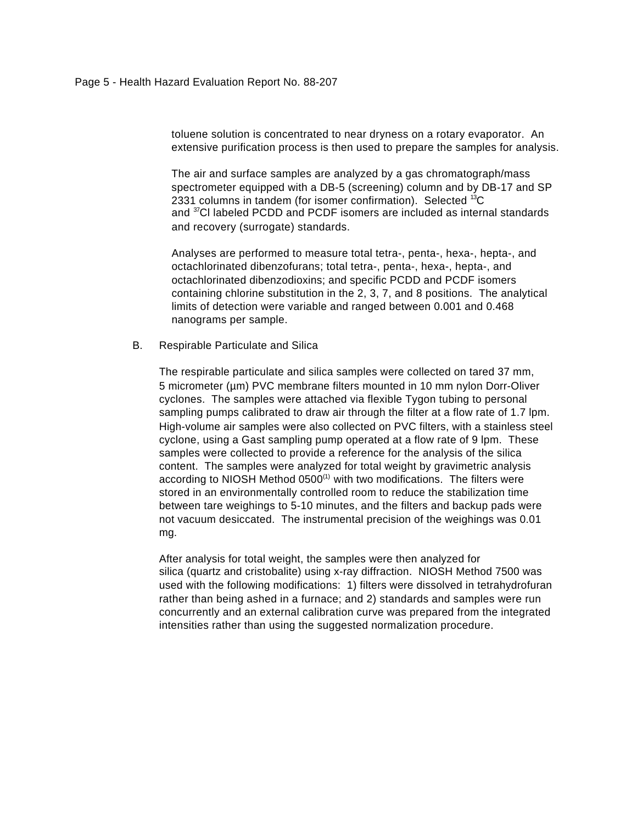toluene solution is concentrated to near dryness on a rotary evaporator. An extensive purification process is then used to prepare the samples for analysis.

The air and surface samples are analyzed by a gas chromatograph/mass spectrometer equipped with a DB-5 (screening) column and by DB-17 and SP 2331 columns in tandem (for isomer confirmation). Selected <sup>13</sup>C and <sup>37</sup>Cl labeled PCDD and PCDF isomers are included as internal standards and recovery (surrogate) standards.

Analyses are performed to measure total tetra-, penta-, hexa-, hepta-, and octachlorinated dibenzofurans; total tetra-, penta-, hexa-, hepta-, and octachlorinated dibenzodioxins; and specific PCDD and PCDF isomers containing chlorine substitution in the 2, 3, 7, and 8 positions. The analytical limits of detection were variable and ranged between 0.001 and 0.468 nanograms per sample.

B. Respirable Particulate and Silica

The respirable particulate and silica samples were collected on tared 37 mm, 5 micrometer (µm) PVC membrane filters mounted in 10 mm nylon Dorr-Oliver cyclones. The samples were attached via flexible Tygon tubing to personal sampling pumps calibrated to draw air through the filter at a flow rate of 1.7 lpm. High-volume air samples were also collected on PVC filters, with a stainless steel cyclone, using a Gast sampling pump operated at a flow rate of 9 lpm. These samples were collected to provide a reference for the analysis of the silica content. The samples were analyzed for total weight by gravimetric analysis according to NIOSH Method  $0500<sup>(1)</sup>$  with two modifications. The filters were stored in an environmentally controlled room to reduce the stabilization time between tare weighings to 5-10 minutes, and the filters and backup pads were not vacuum desiccated. The instrumental precision of the weighings was 0.01 mg.

After analysis for total weight, the samples were then analyzed for silica (quartz and cristobalite) using x-ray diffraction. NIOSH Method 7500 was used with the following modifications: 1) filters were dissolved in tetrahydrofuran rather than being ashed in a furnace; and 2) standards and samples were run concurrently and an external calibration curve was prepared from the integrated intensities rather than using the suggested normalization procedure.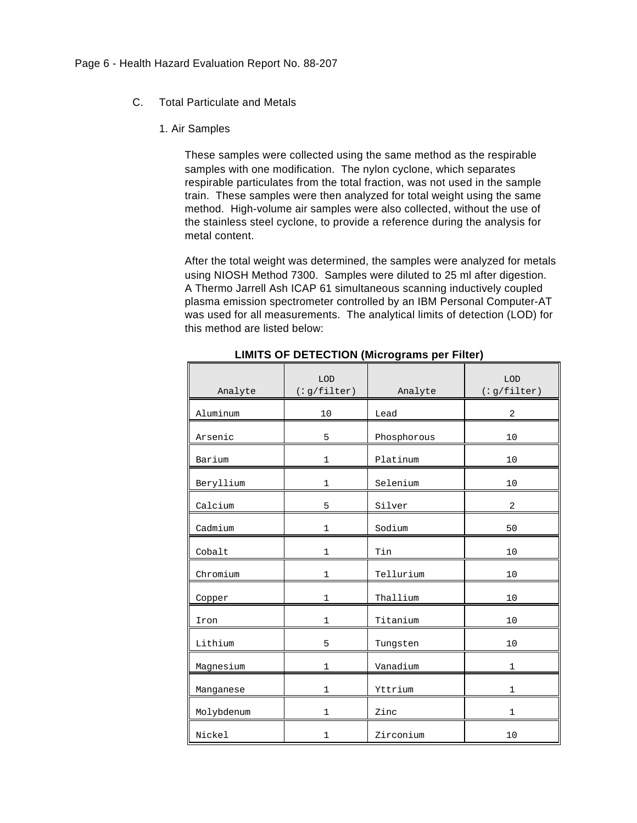- C. Total Particulate and Metals
	- 1. Air Samples

These samples were collected using the same method as the respirable samples with one modification. The nylon cyclone, which separates respirable particulates from the total fraction, was not used in the sample train. These samples were then analyzed for total weight using the same method. High-volume air samples were also collected, without the use of the stainless steel cyclone, to provide a reference during the analysis for metal content.

After the total weight was determined, the samples were analyzed for metals using NIOSH Method 7300. Samples were diluted to 25 ml after digestion. A Thermo Jarrell Ash ICAP 61 simultaneous scanning inductively coupled plasma emission spectrometer controlled by an IBM Personal Computer-AT was used for all measurements. The analytical limits of detection (LOD) for this method are listed below:

| Analyte    | LOD<br>(:g/filter) | Analyte     | LOD<br>(:g/filter) |
|------------|--------------------|-------------|--------------------|
| Aluminum   | 10                 | Lead        | 2                  |
| Arsenic    | 5                  | Phosphorous | 10                 |
| Barium     | $\mathbf{1}$       | Platinum    | 10                 |
| Beryllium  | 1                  | Selenium    | 10                 |
| Calcium    | 5                  | Silver      | 2                  |
| Cadmium    | $\mathbf 1$        | Sodium      | 50                 |
| Cobalt     | $\mathbf{1}$       | Tin         | 10                 |
| Chromium   | 1                  | Tellurium   | 10                 |
| Copper     | $\mathbf{1}$       | Thallium    | 10                 |
| Iron       | $\mathbf{1}$       | Titanium    | 10                 |
| Lithium    | 5                  | Tungsten    | 10                 |
| Magnesium  | 1                  | Vanadium    | 1                  |
| Manganese  | $\mathbf{1}$       | Yttrium     | 1                  |
| Molybdenum | $\mathbf{1}$       | Zinc        | 1                  |
| Nickel     | 1                  | Zirconium   | 10                 |

**LIMITS OF DETECTION (Micrograms per Filter)**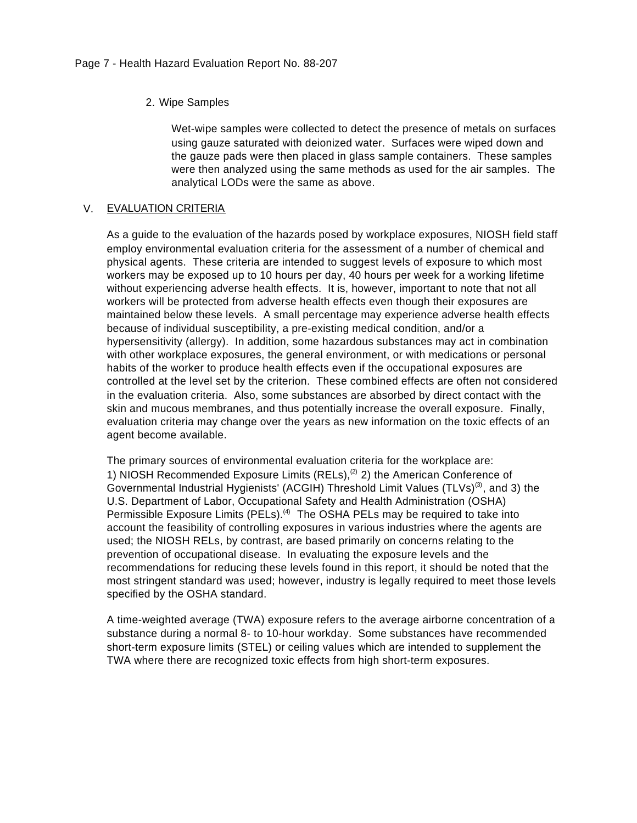## 2. Wipe Samples

Wet-wipe samples were collected to detect the presence of metals on surfaces using gauze saturated with deionized water. Surfaces were wiped down and the gauze pads were then placed in glass sample containers. These samples were then analyzed using the same methods as used for the air samples. The analytical LODs were the same as above.

### V. EVALUATION CRITERIA

As a guide to the evaluation of the hazards posed by workplace exposures, NIOSH field staff employ environmental evaluation criteria for the assessment of a number of chemical and physical agents. These criteria are intended to suggest levels of exposure to which most workers may be exposed up to 10 hours per day, 40 hours per week for a working lifetime without experiencing adverse health effects. It is, however, important to note that not all workers will be protected from adverse health effects even though their exposures are maintained below these levels. A small percentage may experience adverse health effects because of individual susceptibility, a pre-existing medical condition, and/or a hypersensitivity (allergy). In addition, some hazardous substances may act in combination with other workplace exposures, the general environment, or with medications or personal habits of the worker to produce health effects even if the occupational exposures are controlled at the level set by the criterion. These combined effects are often not considered in the evaluation criteria. Also, some substances are absorbed by direct contact with the skin and mucous membranes, and thus potentially increase the overall exposure. Finally, evaluation criteria may change over the years as new information on the toxic effects of an agent become available.

The primary sources of environmental evaluation criteria for the workplace are: 1) NIOSH Recommended Exposure Limits (RELs), $(2)$  2) the American Conference of Governmental Industrial Hygienists' (ACGIH) Threshold Limit Values (TLVs)<sup>(3)</sup>, and 3) the U.S. Department of Labor, Occupational Safety and Health Administration (OSHA) Permissible Exposure Limits (PELs).<sup>(4)</sup> The OSHA PELs may be required to take into account the feasibility of controlling exposures in various industries where the agents are used; the NIOSH RELs, by contrast, are based primarily on concerns relating to the prevention of occupational disease. In evaluating the exposure levels and the recommendations for reducing these levels found in this report, it should be noted that the most stringent standard was used; however, industry is legally required to meet those levels specified by the OSHA standard.

A time-weighted average (TWA) exposure refers to the average airborne concentration of a substance during a normal 8- to 10-hour workday. Some substances have recommended short-term exposure limits (STEL) or ceiling values which are intended to supplement the TWA where there are recognized toxic effects from high short-term exposures.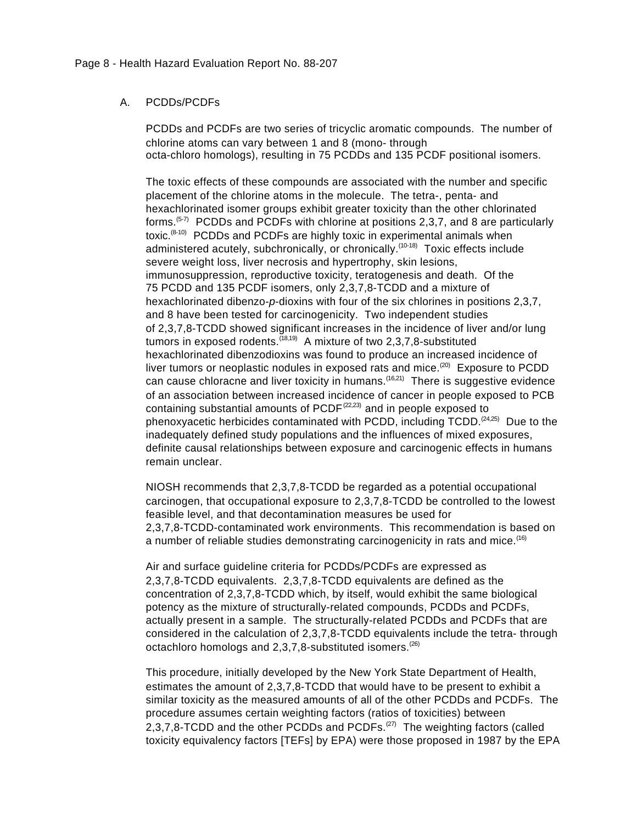## A. PCDDs/PCDFs

PCDDs and PCDFs are two series of tricyclic aromatic compounds. The number of chlorine atoms can vary between 1 and 8 (mono- through octa-chloro homologs), resulting in 75 PCDDs and 135 PCDF positional isomers.

The toxic effects of these compounds are associated with the number and specific placement of the chlorine atoms in the molecule. The tetra-, penta- and hexachlorinated isomer groups exhibit greater toxicity than the other chlorinated forms.<sup> $(5-7)$ </sup> PCDDs and PCDFs with chlorine at positions 2,3,7, and 8 are particularly toxic.(8-10) PCDDs and PCDFs are highly toxic in experimental animals when administered acutely, subchronically, or chronically.<sup>(10-18)</sup> Toxic effects include severe weight loss, liver necrosis and hypertrophy, skin lesions, immunosuppression, reproductive toxicity, teratogenesis and death. Of the 75 PCDD and 135 PCDF isomers, only 2,3,7,8-TCDD and a mixture of hexachlorinated dibenzo-*p*-dioxins with four of the six chlorines in positions 2,3,7, and 8 have been tested for carcinogenicity. Two independent studies of 2,3,7,8-TCDD showed significant increases in the incidence of liver and/or lung tumors in exposed rodents.<sup> $(18,19)$ </sup> A mixture of two 2,3,7,8-substituted hexachlorinated dibenzodioxins was found to produce an increased incidence of liver tumors or neoplastic nodules in exposed rats and mice.<sup> $(20)$ </sup> Exposure to PCDD can cause chloracne and liver toxicity in humans.<sup> $(16,21)$ </sup> There is suggestive evidence of an association between increased incidence of cancer in people exposed to PCB containing substantial amounts of  $PCDF^{(22,23)}$  and in people exposed to phenoxyacetic herbicides contaminated with PCDD, including  $\text{TCDD}$ ,  $(24,25)$  Due to the inadequately defined study populations and the influences of mixed exposures, definite causal relationships between exposure and carcinogenic effects in humans remain unclear.

NIOSH recommends that 2,3,7,8-TCDD be regarded as a potential occupational carcinogen, that occupational exposure to 2,3,7,8-TCDD be controlled to the lowest feasible level, and that decontamination measures be used for 2,3,7,8-TCDD-contaminated work environments. This recommendation is based on a number of reliable studies demonstrating carcinogenicity in rats and mice.<sup>(16)</sup>

Air and surface guideline criteria for PCDDs/PCDFs are expressed as 2,3,7,8-TCDD equivalents. 2,3,7,8-TCDD equivalents are defined as the concentration of 2,3,7,8-TCDD which, by itself, would exhibit the same biological potency as the mixture of structurally-related compounds, PCDDs and PCDFs, actually present in a sample. The structurally-related PCDDs and PCDFs that are considered in the calculation of 2,3,7,8-TCDD equivalents include the tetra- through octachloro homologs and  $2,3,7,8$ -substituted isomers.<sup>(26)</sup>

This procedure, initially developed by the New York State Department of Health, estimates the amount of 2,3,7,8-TCDD that would have to be present to exhibit a similar toxicity as the measured amounts of all of the other PCDDs and PCDFs. The procedure assumes certain weighting factors (ratios of toxicities) between 2,3,7,8-TCDD and the other PCDDs and PCDFs. $(27)$  The weighting factors (called toxicity equivalency factors [TEFs] by EPA) were those proposed in 1987 by the EPA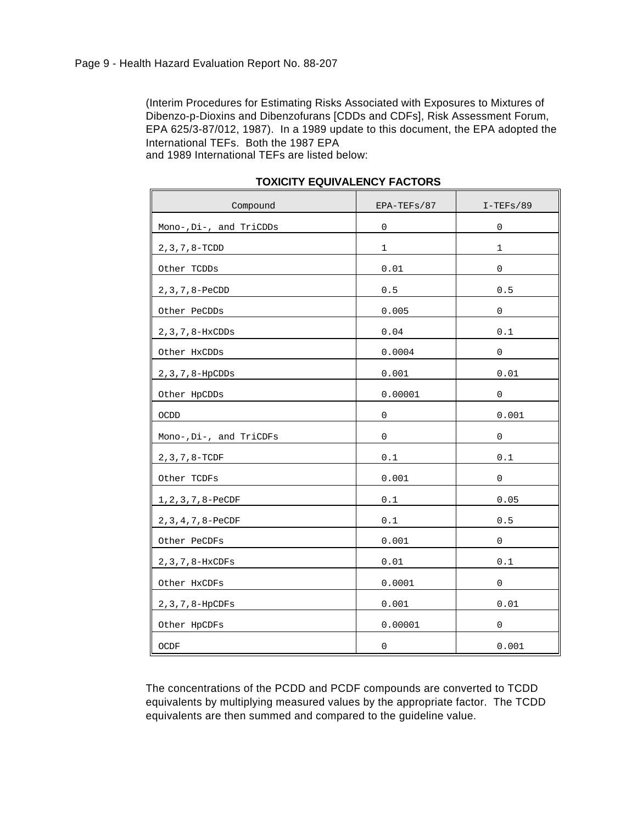(Interim Procedures for Estimating Risks Associated with Exposures to Mixtures of Dibenzo-p-Dioxins and Dibenzofurans [CDDs and CDFs], Risk Assessment Forum, EPA 625/3-87/012, 1987). In a 1989 update to this document, the EPA adopted the International TEFs. Both the 1987 EPA

and 1989 International TEFs are listed below:

| Compound                | EPA-TEFs/87 | $I-TEFs/89$ |
|-------------------------|-------------|-------------|
| Mono-, Di-, and TriCDDs | $\mathsf 0$ | $\mathsf 0$ |
| $2, 3, 7, 8-$ TCDD      | 1           | 1           |
| Other TCDDs             | 0.01        | $\mathsf 0$ |
| 2, 3, 7, 8-PeCDD        | $0.5$       | $0.5$       |
| Other PeCDDs            | 0.005       | 0           |
| $2, 3, 7, 8-HxCDDs$     | 0.04        | $0.1\,$     |
| Other HxCDDs            | 0.0004      | 0           |
| 2, 3, 7, 8-HpCDDs       | 0.001       | 0.01        |
| Other HpCDDs            | 0.00001     | 0           |
| <b>OCDD</b>             | $\mathsf 0$ | 0.001       |
| Mono-, Di-, and TriCDFs | 0           | 0           |
| $2, 3, 7, 8-TCDF$       | $0.1\,$     | $0.1$       |
| Other TCDFs             | 0.001       | $\mathbf 0$ |
| 1, 2, 3, 7, 8-PeCDF     | $0.1\,$     | 0.05        |
| 2, 3, 4, 7, 8-PeCDF     | $0.1\,$     | 0.5         |
| Other PeCDFs            | 0.001       | 0           |
| 2, 3, 7, 8-HxCDFs       | 0.01        | $0.1\,$     |
| Other HxCDFs            | 0.0001      | 0           |
| 2, 3, 7, 8-HpCDFs       | 0.001       | 0.01        |
| Other HpCDFs            | 0.00001     | $\mathsf 0$ |
| OCDF                    | $\mathsf 0$ | 0.001       |

### **TOXICITY EQUIVALENCY FACTORS**

The concentrations of the PCDD and PCDF compounds are converted to TCDD equivalents by multiplying measured values by the appropriate factor. The TCDD equivalents are then summed and compared to the guideline value.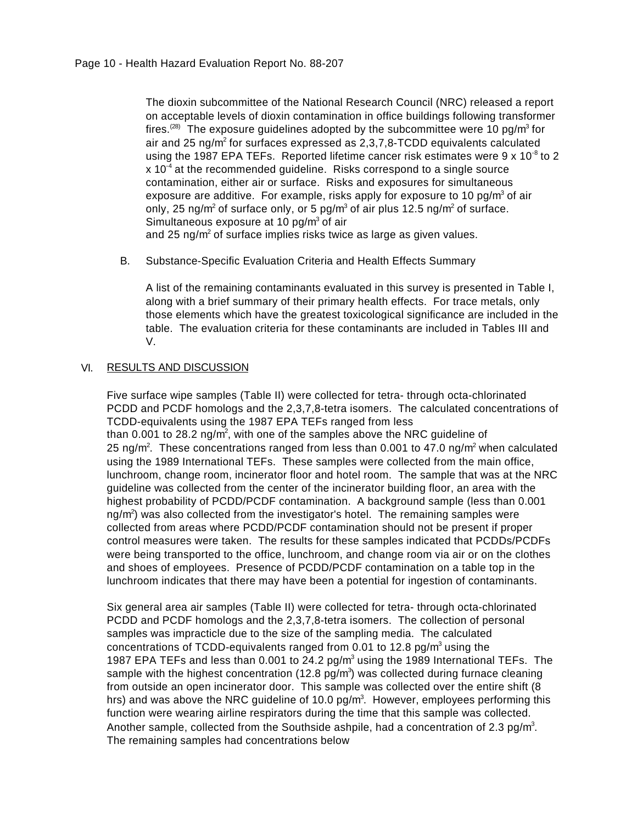The dioxin subcommittee of the National Research Council (NRC) released a report on acceptable levels of dioxin contamination in office buildings following transformer fires.<sup>(28)</sup> The exposure guidelines adopted by the subcommittee were 10 pg/m<sup>3</sup> for air and 25 ng/m<sup>2</sup> for surfaces expressed as 2,3,7,8-TCDD equivalents calculated using the 1987 EPA TEFs. Reported lifetime cancer risk estimates were 9 x 10<sup>-8</sup> to 2  $x$  10 $4$  at the recommended guideline. Risks correspond to a single source contamination, either air or surface. Risks and exposures for simultaneous exposure are additive. For example, risks apply for exposure to 10 pg/m $3$  of air only, 25 ng/m<sup>2</sup> of surface only, or 5 pg/m $^3$  of air plus 12.5 ng/m<sup>2</sup> of surface. Simultaneous exposure at 10 pg/m<sup>3</sup> of air and 25 ng/m<sup>2</sup> of surface implies risks twice as large as given values.

B. Substance-Specific Evaluation Criteria and Health Effects Summary

A list of the remaining contaminants evaluated in this survey is presented in Table I, along with a brief summary of their primary health effects. For trace metals, only those elements which have the greatest toxicological significance are included in the table. The evaluation criteria for these contaminants are included in Tables III and V.

## VI. RESULTS AND DISCUSSION

Five surface wipe samples (Table II) were collected for tetra- through octa-chlorinated PCDD and PCDF homologs and the 2,3,7,8-tetra isomers. The calculated concentrations of TCDD-equivalents using the 1987 EPA TEFs ranged from less

than 0.001 to 28.2 ng/m<sup>2</sup>, with one of the samples above the NRC guideline of 25 ng/m<sup>2</sup>. These concentrations ranged from less than 0.001 to 47.0 ng/m<sup>2</sup> when calculated using the 1989 International TEFs. These samples were collected from the main office, lunchroom, change room, incinerator floor and hotel room. The sample that was at the NRC guideline was collected from the center of the incinerator building floor, an area with the highest probability of PCDD/PCDF contamination. A background sample (less than 0.001 ng/m<sup>2</sup>) was also collected from the investigator's hotel. The remaining samples were collected from areas where PCDD/PCDF contamination should not be present if proper control measures were taken. The results for these samples indicated that PCDDs/PCDFs were being transported to the office, lunchroom, and change room via air or on the clothes and shoes of employees. Presence of PCDD/PCDF contamination on a table top in the lunchroom indicates that there may have been a potential for ingestion of contaminants.

Six general area air samples (Table II) were collected for tetra- through octa-chlorinated PCDD and PCDF homologs and the 2,3,7,8-tetra isomers. The collection of personal samples was impracticle due to the size of the sampling media. The calculated concentrations of TCDD-equivalents ranged from 0.01 to 12.8 pg/m<sup>3</sup> using the 1987 EPA TEFs and less than 0.001 to 24.2  $pg/m<sup>3</sup>$  using the 1989 International TEFs. The sample with the highest concentration (12.8 pg/m<sup>3</sup>) was collected during furnace cleaning from outside an open incinerator door. This sample was collected over the entire shift (8 hrs) and was above the NRC guideline of 10.0 pg/m<sup>3</sup>. However, employees performing this function were wearing airline respirators during the time that this sample was collected. Another sample, collected from the Southside ashpile, had a concentration of 2.3 pg/m<sup>3</sup>. The remaining samples had concentrations below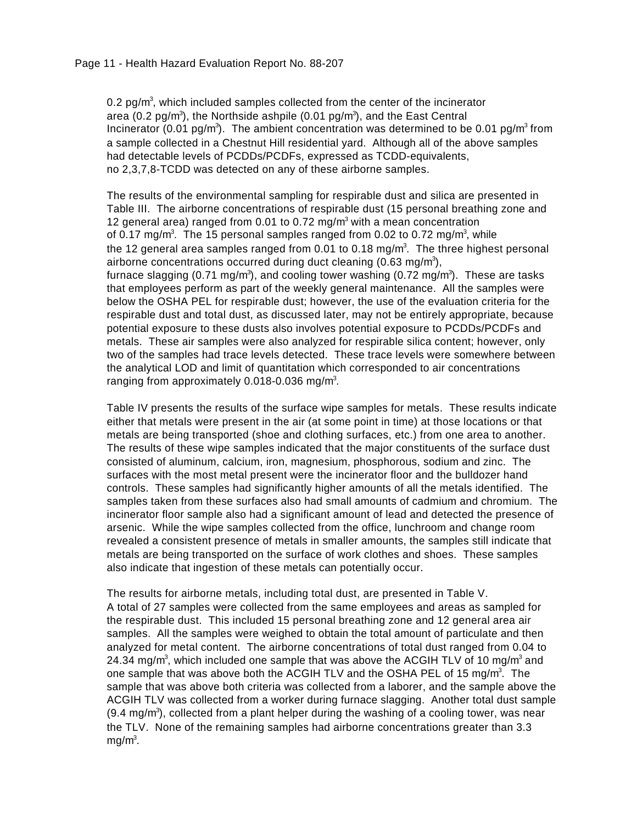0.2 pg/ $m<sup>3</sup>$ , which included samples collected from the center of the incinerator area (0.2 pg/m<sup>3</sup>), the Northside ashpile (0.01 pg/m<sup>3</sup>), and the East Central Incinerator (0.01 pg/m<sup>3</sup>). The ambient concentration was determined to be 0.01 pg/m<sup>3</sup> from a sample collected in a Chestnut Hill residential yard. Although all of the above samples had detectable levels of PCDDs/PCDFs, expressed as TCDD-equivalents, no 2,3,7,8-TCDD was detected on any of these airborne samples.

The results of the environmental sampling for respirable dust and silica are presented in Table III. The airborne concentrations of respirable dust (15 personal breathing zone and 12 general area) ranged from 0.01 to 0.72 mg/m<sup>3</sup> with a mean concentration of 0.17 mg/m<sup>3</sup>. The 15 personal samples ranged from 0.02 to 0.72 mg/m<sup>3</sup>, while the 12 general area samples ranged from 0.01 to 0.18 mg/m<sup>3</sup>. The three highest personal airborne concentrations occurred during duct cleaning (0.63 mg/m<sup>3</sup>), furnace slagging (0.71 mg/m $^3$ ), and cooling tower washing (0.72 mg/m $^3$ ). These are tasks that employees perform as part of the weekly general maintenance. All the samples were below the OSHA PEL for respirable dust; however, the use of the evaluation criteria for the respirable dust and total dust, as discussed later, may not be entirely appropriate, because potential exposure to these dusts also involves potential exposure to PCDDs/PCDFs and metals. These air samples were also analyzed for respirable silica content; however, only two of the samples had trace levels detected. These trace levels were somewhere between the analytical LOD and limit of quantitation which corresponded to air concentrations ranging from approximately 0.018-0.036 mg/m<sup>3</sup>.

Table IV presents the results of the surface wipe samples for metals. These results indicate either that metals were present in the air (at some point in time) at those locations or that metals are being transported (shoe and clothing surfaces, etc.) from one area to another. The results of these wipe samples indicated that the major constituents of the surface dust consisted of aluminum, calcium, iron, magnesium, phosphorous, sodium and zinc. The surfaces with the most metal present were the incinerator floor and the bulldozer hand controls. These samples had significantly higher amounts of all the metals identified. The samples taken from these surfaces also had small amounts of cadmium and chromium. The incinerator floor sample also had a significant amount of lead and detected the presence of arsenic. While the wipe samples collected from the office, lunchroom and change room revealed a consistent presence of metals in smaller amounts, the samples still indicate that metals are being transported on the surface of work clothes and shoes. These samples also indicate that ingestion of these metals can potentially occur.

The results for airborne metals, including total dust, are presented in Table V. A total of 27 samples were collected from the same employees and areas as sampled for the respirable dust. This included 15 personal breathing zone and 12 general area air samples. All the samples were weighed to obtain the total amount of particulate and then analyzed for metal content. The airborne concentrations of total dust ranged from 0.04 to 24.34 mg/m $3$ , which included one sample that was above the ACGIH TLV of 10 mg/m $^3$  and one sample that was above both the ACGIH TLV and the OSHA PEL of 15 mg/m<sup>3</sup>. The sample that was above both criteria was collected from a laborer, and the sample above the ACGIH TLV was collected from a worker during furnace slagging. Another total dust sample  $(9.4 \text{ mg/m}^3)$ , collected from a plant helper during the washing of a cooling tower, was near the TLV. None of the remaining samples had airborne concentrations greater than 3.3  $mg/m<sup>3</sup>$ .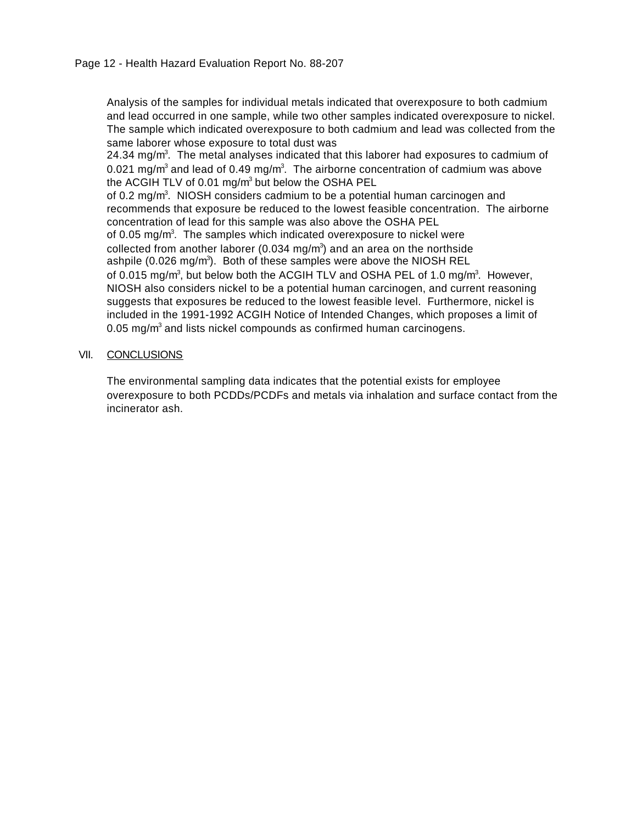Analysis of the samples for individual metals indicated that overexposure to both cadmium and lead occurred in one sample, while two other samples indicated overexposure to nickel. The sample which indicated overexposure to both cadmium and lead was collected from the same laborer whose exposure to total dust was

24.34 mg/m<sup>3</sup>. The metal analyses indicated that this laborer had exposures to cadmium of 0.021 mg/m<sup>3</sup> and lead of 0.49 mg/m<sup>3</sup>. The airborne concentration of cadmium was above the ACGIH TLV of 0.01 mg/m $3$  but below the OSHA PEL

of 0.2 mg/m<sup>3</sup>. NIOSH considers cadmium to be a potential human carcinogen and recommends that exposure be reduced to the lowest feasible concentration. The airborne concentration of lead for this sample was also above the OSHA PEL of 0.05 mg/m<sup>3</sup>. The samples which indicated overexposure to nickel were collected from another laborer (0.034 mg/m<sup>3</sup>) and an area on the northside ashpile (0.026 mg/m<sup>3</sup>). Both of these samples were above the NIOSH REL of 0.015 mg/m<sup>3</sup>, but below both the ACGIH TLV and OSHA PEL of 1.0 mg/m<sup>3</sup>. However, NIOSH also considers nickel to be a potential human carcinogen, and current reasoning suggests that exposures be reduced to the lowest feasible level. Furthermore, nickel is included in the 1991-1992 ACGIH Notice of Intended Changes, which proposes a limit of 0.05 mg/m<sup>3</sup> and lists nickel compounds as confirmed human carcinogens.

## VII. CONCLUSIONS

The environmental sampling data indicates that the potential exists for employee overexposure to both PCDDs/PCDFs and metals via inhalation and surface contact from the incinerator ash.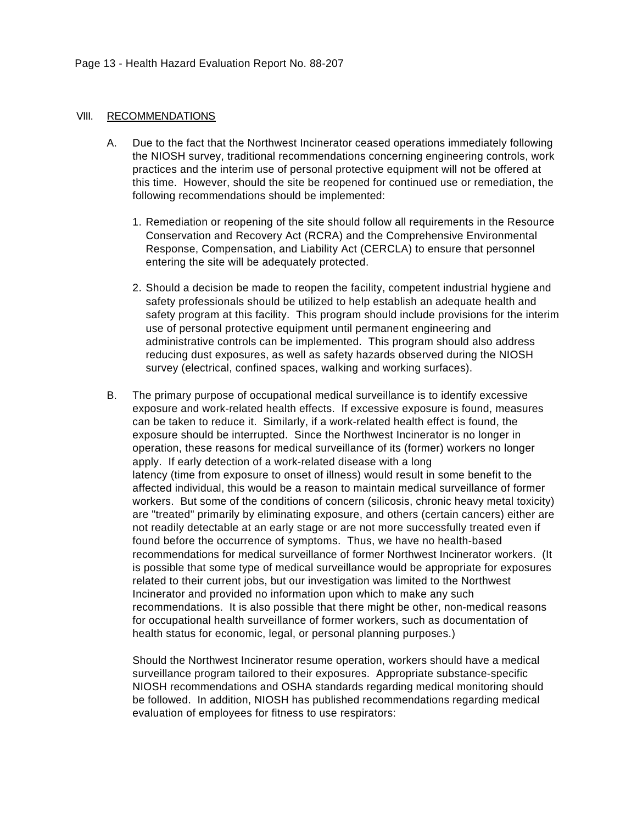#### VIII. RECOMMENDATIONS

- A. Due to the fact that the Northwest Incinerator ceased operations immediately following the NIOSH survey, traditional recommendations concerning engineering controls, work practices and the interim use of personal protective equipment will not be offered at this time. However, should the site be reopened for continued use or remediation, the following recommendations should be implemented:
	- 1. Remediation or reopening of the site should follow all requirements in the Resource Conservation and Recovery Act (RCRA) and the Comprehensive Environmental Response, Compensation, and Liability Act (CERCLA) to ensure that personnel entering the site will be adequately protected.
	- 2. Should a decision be made to reopen the facility, competent industrial hygiene and safety professionals should be utilized to help establish an adequate health and safety program at this facility. This program should include provisions for the interim use of personal protective equipment until permanent engineering and administrative controls can be implemented. This program should also address reducing dust exposures, as well as safety hazards observed during the NIOSH survey (electrical, confined spaces, walking and working surfaces).
- B. The primary purpose of occupational medical surveillance is to identify excessive exposure and work-related health effects. If excessive exposure is found, measures can be taken to reduce it. Similarly, if a work-related health effect is found, the exposure should be interrupted. Since the Northwest Incinerator is no longer in operation, these reasons for medical surveillance of its (former) workers no longer apply. If early detection of a work-related disease with a long latency (time from exposure to onset of illness) would result in some benefit to the affected individual, this would be a reason to maintain medical surveillance of former workers. But some of the conditions of concern (silicosis, chronic heavy metal toxicity) are "treated" primarily by eliminating exposure, and others (certain cancers) either are not readily detectable at an early stage or are not more successfully treated even if found before the occurrence of symptoms. Thus, we have no health-based recommendations for medical surveillance of former Northwest Incinerator workers. (It is possible that some type of medical surveillance would be appropriate for exposures related to their current jobs, but our investigation was limited to the Northwest Incinerator and provided no information upon which to make any such recommendations. It is also possible that there might be other, non-medical reasons for occupational health surveillance of former workers, such as documentation of health status for economic, legal, or personal planning purposes.)

Should the Northwest Incinerator resume operation, workers should have a medical surveillance program tailored to their exposures. Appropriate substance-specific NIOSH recommendations and OSHA standards regarding medical monitoring should be followed. In addition, NIOSH has published recommendations regarding medical evaluation of employees for fitness to use respirators: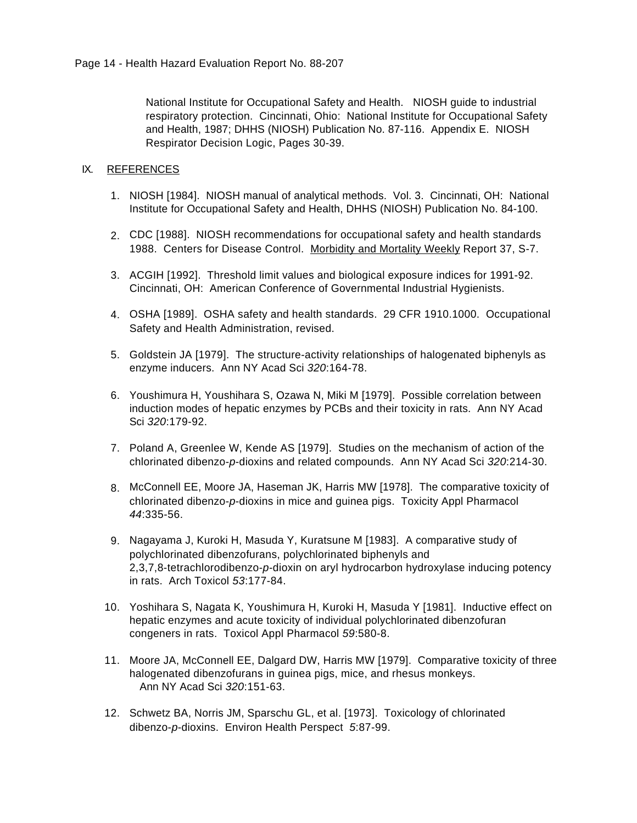National Institute for Occupational Safety and Health. NIOSH guide to industrial respiratory protection. Cincinnati, Ohio: National Institute for Occupational Safety and Health, 1987; DHHS (NIOSH) Publication No. 87-116. Appendix E. NIOSH Respirator Decision Logic, Pages 30-39.

## IX. REFERENCES

- 1. NIOSH [1984]. NIOSH manual of analytical methods. Vol. 3. Cincinnati, OH: National Institute for Occupational Safety and Health, DHHS (NIOSH) Publication No. 84-100.
- 2. CDC [1988]. NIOSH recommendations for occupational safety and health standards 1988. Centers for Disease Control. Morbidity and Mortality Weekly Report 37, S-7.
- 3. ACGIH [1992]. Threshold limit values and biological exposure indices for 1991-92. Cincinnati, OH: American Conference of Governmental Industrial Hygienists.
- 4. OSHA [1989]. OSHA safety and health standards. 29 CFR 1910.1000. Occupational Safety and Health Administration, revised.
- 5. Goldstein JA [1979]. The structure-activity relationships of halogenated biphenyls as enzyme inducers. Ann NY Acad Sci *320*:164-78.
- 6. Youshimura H, Youshihara S, Ozawa N, Miki M [1979]. Possible correlation between induction modes of hepatic enzymes by PCBs and their toxicity in rats. Ann NY Acad Sci *320*:179-92.
- 7. Poland A, Greenlee W, Kende AS [1979]. Studies on the mechanism of action of the chlorinated dibenzo-*p*-dioxins and related compounds. Ann NY Acad Sci *320*:214-30.
- 8. McConnell EE, Moore JA, Haseman JK, Harris MW [1978]. The comparative toxicity of chlorinated dibenzo-*p*-dioxins in mice and guinea pigs. Toxicity Appl Pharmacol *44*:335-56.
- 9. Nagayama J, Kuroki H, Masuda Y, Kuratsune M [1983]. A comparative study of polychlorinated dibenzofurans, polychlorinated biphenyls and 2,3,7,8-tetrachlorodibenzo-*p*-dioxin on aryl hydrocarbon hydroxylase inducing potency in rats. Arch Toxicol *53*:177-84.
- 10. Yoshihara S, Nagata K, Youshimura H, Kuroki H, Masuda Y [1981]. Inductive effect on hepatic enzymes and acute toxicity of individual polychlorinated dibenzofuran congeners in rats. Toxicol Appl Pharmacol *59*:580-8.
- 11. Moore JA, McConnell EE, Dalgard DW, Harris MW [1979]. Comparative toxicity of three halogenated dibenzofurans in guinea pigs, mice, and rhesus monkeys. Ann NY Acad Sci *320*:151-63.
- 12. Schwetz BA, Norris JM, Sparschu GL, et al. [1973]. Toxicology of chlorinated dibenzo-*p*-dioxins. Environ Health Perspect *5*:87-99.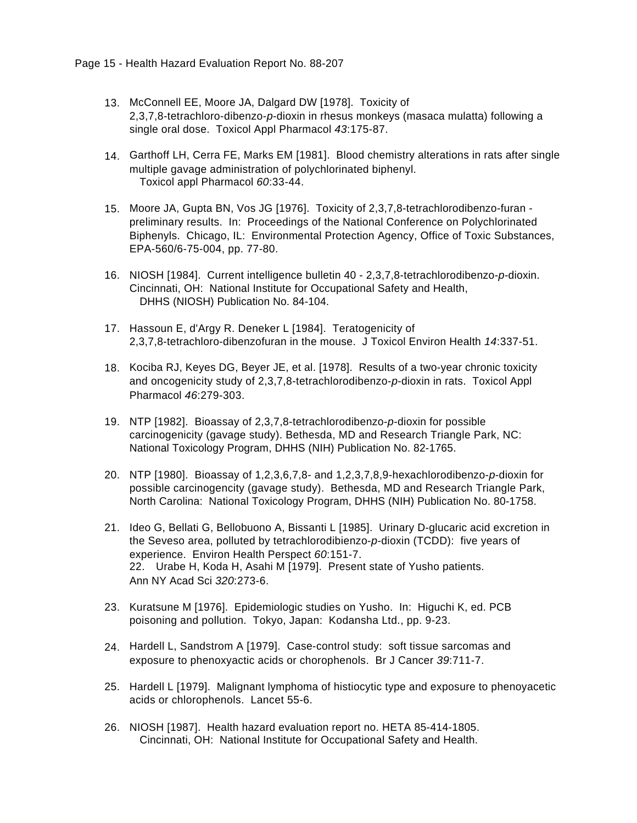- 13. McConnell EE, Moore JA, Dalgard DW [1978]. Toxicity of 2,3,7,8-tetrachloro-dibenzo-*p*-dioxin in rhesus monkeys (masaca mulatta) following a single oral dose. Toxicol Appl Pharmacol *43*:175-87.
- 14. Garthoff LH, Cerra FE, Marks EM [1981]. Blood chemistry alterations in rats after single multiple gavage administration of polychlorinated biphenyl. Toxicol appl Pharmacol *60*:33-44.
- 15. Moore JA, Gupta BN, Vos JG [1976]. Toxicity of 2,3,7,8-tetrachlorodibenzo-furan preliminary results. In: Proceedings of the National Conference on Polychlorinated Biphenyls. Chicago, IL: Environmental Protection Agency, Office of Toxic Substances, EPA-560/6-75-004, pp. 77-80.
- 16. NIOSH [1984]. Current intelligence bulletin 40 2,3,7,8-tetrachlorodibenzo-*p*-dioxin. Cincinnati, OH: National Institute for Occupational Safety and Health, DHHS (NIOSH) Publication No. 84-104.
- 17. Hassoun E, d'Argy R. Deneker L [1984]. Teratogenicity of 2,3,7,8-tetrachloro-dibenzofuran in the mouse. J Toxicol Environ Health *14*:337-51.
- 18. Kociba RJ, Keyes DG, Beyer JE, et al. [1978]. Results of a two-year chronic toxicity and oncogenicity study of 2,3,7,8-tetrachlorodibenzo-*p*-dioxin in rats. Toxicol Appl Pharmacol *46*:279-303.
- 19. NTP [1982]. Bioassay of 2,3,7,8-tetrachlorodibenzo-*p*-dioxin for possible carcinogenicity (gavage study). Bethesda, MD and Research Triangle Park, NC: National Toxicology Program, DHHS (NIH) Publication No. 82-1765.
- 20. NTP [1980]. Bioassay of 1,2,3,6,7,8- and 1,2,3,7,8,9-hexachlorodibenzo-*p*-dioxin for possible carcinogencity (gavage study). Bethesda, MD and Research Triangle Park, North Carolina: National Toxicology Program, DHHS (NIH) Publication No. 80-1758.
- 21. Ideo G, Bellati G, Bellobuono A, Bissanti L [1985]. Urinary D-glucaric acid excretion in the Seveso area, polluted by tetrachlorodibienzo-*p*-dioxin (TCDD): five years of experience. Environ Health Perspect *60*:151-7. 22. Urabe H, Koda H, Asahi M [1979]. Present state of Yusho patients. Ann NY Acad Sci *320*:273-6.
- 23. Kuratsune M [1976]. Epidemiologic studies on Yusho. In: Higuchi K, ed. PCB poisoning and pollution. Tokyo, Japan: Kodansha Ltd., pp. 9-23.
- 24. Hardell L, Sandstrom A [1979]. Case-control study: soft tissue sarcomas and exposure to phenoxyactic acids or chorophenols. Br J Cancer *39*:711-7.
- 25. Hardell L [1979]. Malignant lymphoma of histiocytic type and exposure to phenoyacetic acids or chlorophenols. Lancet 55-6.
- 26. NIOSH [1987]. Health hazard evaluation report no. HETA 85-414-1805. Cincinnati, OH: National Institute for Occupational Safety and Health.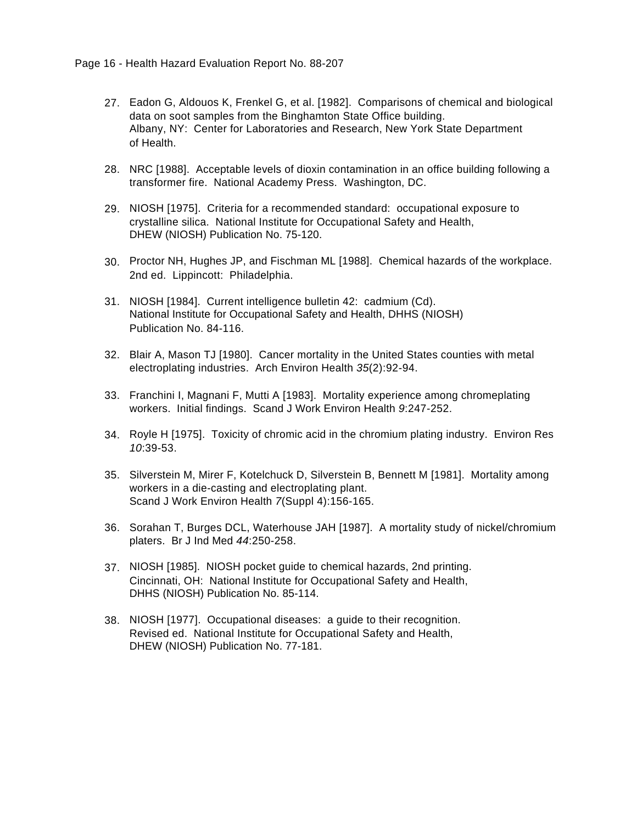- 27. Eadon G, Aldouos K, Frenkel G, et al. [1982]. Comparisons of chemical and biological data on soot samples from the Binghamton State Office building. Albany, NY: Center for Laboratories and Research, New York State Department of Health.
- 28. NRC [1988]. Acceptable levels of dioxin contamination in an office building following a transformer fire. National Academy Press. Washington, DC.
- 29. NIOSH [1975]. Criteria for a recommended standard: occupational exposure to crystalline silica. National Institute for Occupational Safety and Health, DHEW (NIOSH) Publication No. 75-120.
- 30. Proctor NH, Hughes JP, and Fischman ML [1988]. Chemical hazards of the workplace. 2nd ed. Lippincott: Philadelphia.
- 31. NIOSH [1984]. Current intelligence bulletin 42: cadmium (Cd). National Institute for Occupational Safety and Health, DHHS (NIOSH) Publication No. 84-116.
- 32. Blair A, Mason TJ [1980]. Cancer mortality in the United States counties with metal electroplating industries. Arch Environ Health *35*(2):92-94.
- 33. Franchini I, Magnani F, Mutti A [1983]. Mortality experience among chromeplating workers. Initial findings. Scand J Work Environ Health *9*:247-252.
- 34. Royle H [1975]. Toxicity of chromic acid in the chromium plating industry. Environ Res *10*:39-53.
- 35. Silverstein M, Mirer F, Kotelchuck D, Silverstein B, Bennett M [1981]. Mortality among workers in a die-casting and electroplating plant. Scand J Work Environ Health *7*(Suppl 4):156-165.
- 36. Sorahan T, Burges DCL, Waterhouse JAH [1987]. A mortality study of nickel/chromium platers. Br J Ind Med *44*:250-258.
- 37. NIOSH [1985]. NIOSH pocket guide to chemical hazards, 2nd printing. Cincinnati, OH: National Institute for Occupational Safety and Health, DHHS (NIOSH) Publication No. 85-114.
- 38. NIOSH [1977]. Occupational diseases: a guide to their recognition. Revised ed. National Institute for Occupational Safety and Health, DHEW (NIOSH) Publication No. 77-181.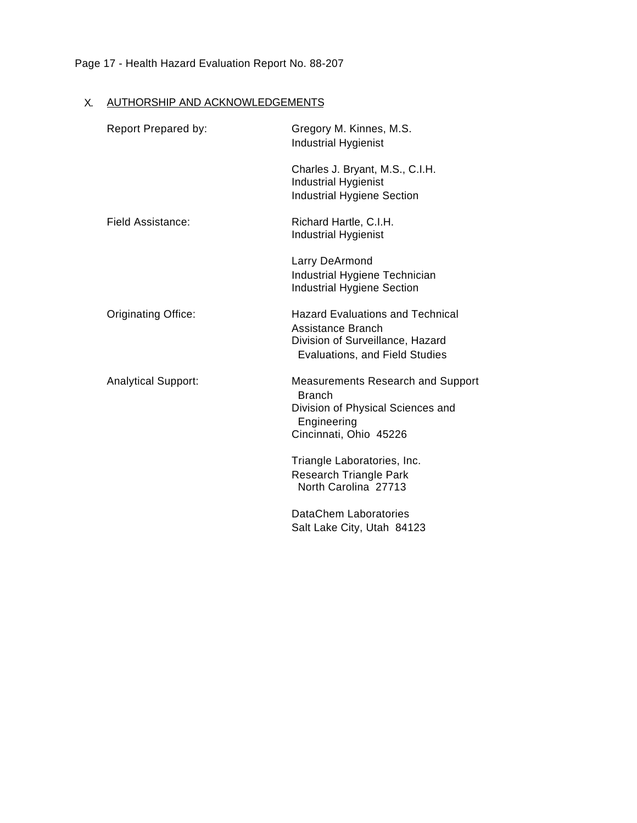# Page 17 - Health Hazard Evaluation Report No. 88-207

# X. AUTHORSHIP AND ACKNOWLEDGEMENTS

| Report Prepared by:        | Gregory M. Kinnes, M.S.<br><b>Industrial Hygienist</b>                                                                                  |
|----------------------------|-----------------------------------------------------------------------------------------------------------------------------------------|
|                            | Charles J. Bryant, M.S., C.I.H.<br><b>Industrial Hygienist</b><br><b>Industrial Hygiene Section</b>                                     |
| <b>Field Assistance:</b>   | Richard Hartle, C.I.H.<br><b>Industrial Hygienist</b>                                                                                   |
|                            | Larry DeArmond<br>Industrial Hygiene Technician<br><b>Industrial Hygiene Section</b>                                                    |
| Originating Office:        | <b>Hazard Evaluations and Technical</b><br>Assistance Branch<br>Division of Surveillance, Hazard<br>Evaluations, and Field Studies      |
| <b>Analytical Support:</b> | <b>Measurements Research and Support</b><br><b>Branch</b><br>Division of Physical Sciences and<br>Engineering<br>Cincinnati, Ohio 45226 |
|                            | Triangle Laboratories, Inc.<br>Research Triangle Park<br>North Carolina 27713                                                           |
|                            | DataChem Laboratories<br>Salt Lake City, Utah 84123                                                                                     |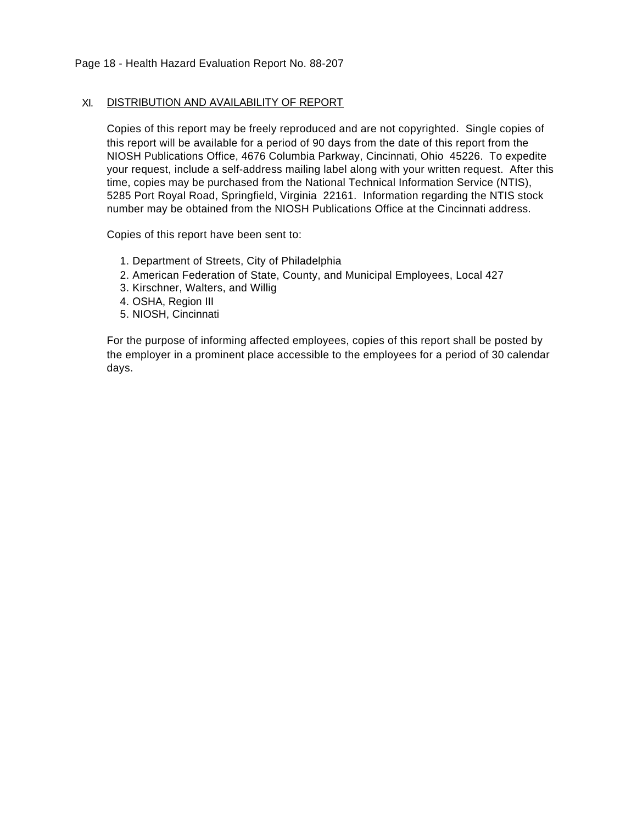### XI. DISTRIBUTION AND AVAILABILITY OF REPORT

Copies of this report may be freely reproduced and are not copyrighted. Single copies of this report will be available for a period of 90 days from the date of this report from the NIOSH Publications Office, 4676 Columbia Parkway, Cincinnati, Ohio 45226. To expedite your request, include a self-address mailing label along with your written request. After this time, copies may be purchased from the National Technical Information Service (NTIS), 5285 Port Royal Road, Springfield, Virginia 22161. Information regarding the NTIS stock number may be obtained from the NIOSH Publications Office at the Cincinnati address.

Copies of this report have been sent to:

- 1. Department of Streets, City of Philadelphia
- 2. American Federation of State, County, and Municipal Employees, Local 427
- 3. Kirschner, Walters, and Willig
- 4. OSHA, Region III
- 5. NIOSH, Cincinnati

For the purpose of informing affected employees, copies of this report shall be posted by the employer in a prominent place accessible to the employees for a period of 30 calendar days.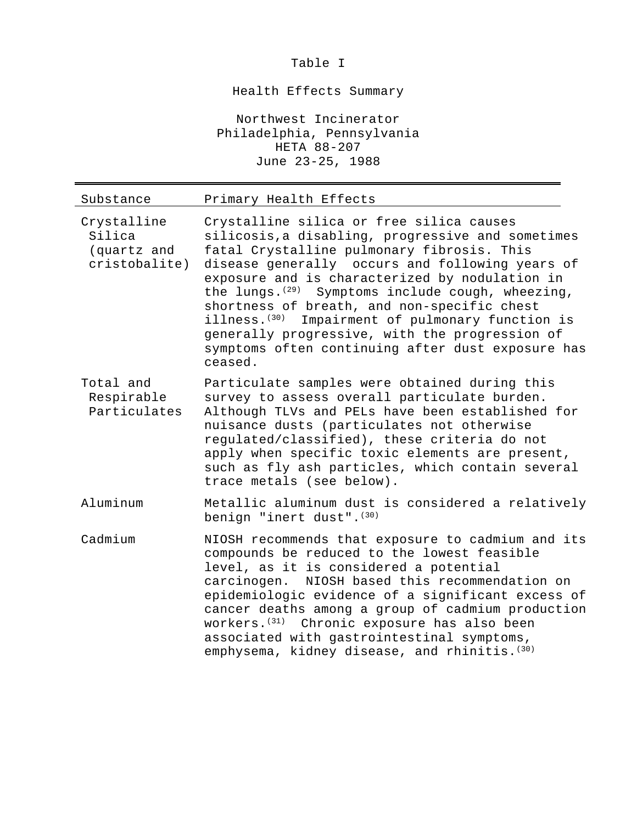Table I

Health Effects Summary

Northwest Incinerator Philadelphia, Pennsylvania HETA 88-207 June 23-25, 1988

| Substance                                             | Primary Health Effects                                                                                                                                                                                                                                                                                                                                                                                                                                                                                                                      |
|-------------------------------------------------------|---------------------------------------------------------------------------------------------------------------------------------------------------------------------------------------------------------------------------------------------------------------------------------------------------------------------------------------------------------------------------------------------------------------------------------------------------------------------------------------------------------------------------------------------|
| Crystalline<br>Silica<br>(quartz and<br>cristobalite) | Crystalline silica or free silica causes<br>silicosis, a disabling, progressive and sometimes<br>fatal Crystalline pulmonary fibrosis. This<br>disease generally occurs and following years of<br>exposure and is characterized by nodulation in<br>the lungs. $(29)$ Symptoms include cough, wheezing,<br>shortness of breath, and non-specific chest<br>illness. <sup>(30)</sup><br>Impairment of pulmonary function is<br>generally progressive, with the progression of<br>symptoms often continuing after dust exposure has<br>ceased. |
| Total and<br>Respirable<br>Particulates               | Particulate samples were obtained during this<br>survey to assess overall particulate burden.<br>Although TLVs and PELs have been established for<br>nuisance dusts (particulates not otherwise<br>regulated/classified), these criteria do not<br>apply when specific toxic elements are present,<br>such as fly ash particles, which contain several<br>trace metals (see below).                                                                                                                                                         |
| Aluminum                                              | Metallic aluminum dust is considered a relatively<br>benign "inert dust". (30)                                                                                                                                                                                                                                                                                                                                                                                                                                                              |
| Cadmium                                               | NIOSH recommends that exposure to cadmium and its<br>compounds be reduced to the lowest feasible<br>level, as it is considered a potential<br>carcinogen. NIOSH based this recommendation on<br>epidemiologic evidence of a significant excess of<br>cancer deaths among a group of cadmium production<br>workers. <sup>(31)</sup> Chronic exposure has also been<br>associated with gastrointestinal symptoms,<br>emphysema, kidney disease, and rhinitis. (30)                                                                            |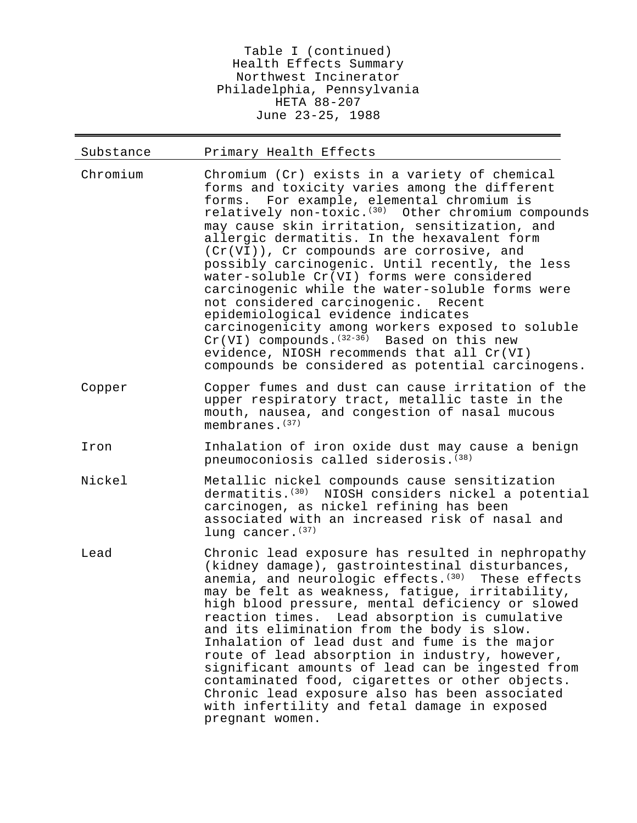Table I (continued) Health Effects Summary Northwest Incinerator Philadelphia, Pennsylvania HETA 88-207 June 23-25, 1988

| Substance | Primary Health Effects                                                                                                                                                                                                                                                                                                                                                                                                                                                                                                                                                                                                                                                                                                                                                                                |
|-----------|-------------------------------------------------------------------------------------------------------------------------------------------------------------------------------------------------------------------------------------------------------------------------------------------------------------------------------------------------------------------------------------------------------------------------------------------------------------------------------------------------------------------------------------------------------------------------------------------------------------------------------------------------------------------------------------------------------------------------------------------------------------------------------------------------------|
| Chromium  | Chromium (Cr) exists in a variety of chemical<br>forms and toxicity varies among the different<br>forms. For example, elemental chromium is<br>relatively non-toxic. <sup>(30)</sup> Other chromium compounds<br>may cause skin irritation, sensitization, and<br>allergic dermatitis. In the hexavalent form<br>(Cr(VI)), Cr compounds are corrosive, and<br>possibly carcinogenic. Until recently, the less<br>water-soluble Cr(VI) forms were considered<br>carcinogenic while the water-soluble forms were<br>not considered carcinogenic. Recent<br>epidemiological evidence indicates<br>carcinogenicity among workers exposed to soluble<br>$Cr(VI)$ compounds. $(32-36)$ Based on this new<br>evidence, NIOSH recommends that all Cr(VI)<br>compounds be considered as potential carcinogens. |
| Copper    | Copper fumes and dust can cause irritation of the<br>upper respiratory tract, metallic taste in the<br>mouth, nausea, and congestion of nasal mucous<br>membranes. $(37)$                                                                                                                                                                                                                                                                                                                                                                                                                                                                                                                                                                                                                             |
| Iron      | Inhalation of iron oxide dust may cause a benign<br>pneumoconiosis called siderosis. (38)                                                                                                                                                                                                                                                                                                                                                                                                                                                                                                                                                                                                                                                                                                             |
| Nickel    | Metallic nickel compounds cause sensitization<br>dermatitis. <sup>(30)</sup> NIOSH considers nickel a potential<br>carcinogen, as nickel refining has been<br>associated with an increased risk of nasal and<br>lung cancer. (37)                                                                                                                                                                                                                                                                                                                                                                                                                                                                                                                                                                     |
| Lead      | Chronic lead exposure has resulted in nephropathy<br>(kidney damage), gastrointestinal disturbances,<br>anemia, and neurologic effects. <sup>(30)</sup> These effects<br>may be felt as weakness, fatigue, irritability,<br>high blood pressure, mental deficiency or slowed<br>reaction times. Lead absorption is cumulative<br>and its elimination from the body is slow.<br>Inhalation of lead dust and fume is the major<br>route of lead absorption in industry, however,<br>significant amounts of lead can be ingested from<br>contaminated food, cigarettes or other objects.<br>Chronic lead exposure also has been associated<br>with infertility and fetal damage in exposed<br>pregnant women.                                                                                            |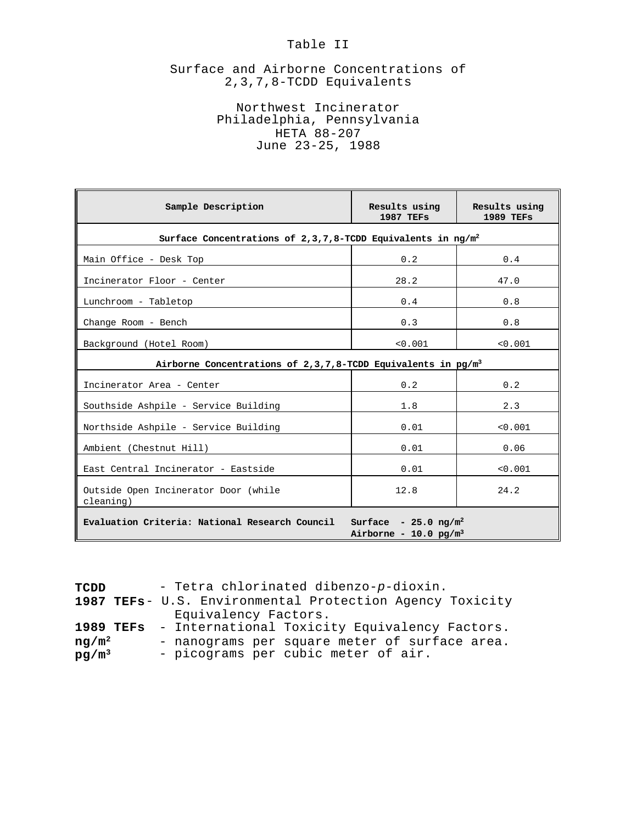### Table II

## Surface and Airborne Concentrations of 2,3,7,8-TCDD Equivalents

## Northwest Incinerator Philadelphia, Pennsylvania HETA 88-207 June 23-25, 1988

| Sample Description                                                                                                     | Results using<br><b>1987 TEFS</b> | Results using<br><b>1989 TEFS</b> |  |  |  |  |  |
|------------------------------------------------------------------------------------------------------------------------|-----------------------------------|-----------------------------------|--|--|--|--|--|
| Surface Concentrations of $2,3,7,8$ -TCDD Equivalents in ng/m <sup>2</sup>                                             |                                   |                                   |  |  |  |  |  |
| Main Office - Desk Top                                                                                                 | 0.2                               | 0.4                               |  |  |  |  |  |
| Incinerator Floor - Center                                                                                             | 28.2                              | 47.0                              |  |  |  |  |  |
| Lunchroom - Tabletop                                                                                                   | 0.4                               | 0.8                               |  |  |  |  |  |
| Change Room - Bench                                                                                                    | 0.3                               | 0.8                               |  |  |  |  |  |
| Background (Hotel Room)                                                                                                | < 0.001                           | < 0.001                           |  |  |  |  |  |
| Airborne Concentrations of 2,3,7,8-TCDD Equivalents in $pg/m3$                                                         |                                   |                                   |  |  |  |  |  |
| Incinerator Area - Center                                                                                              | 0.2                               | 0.2                               |  |  |  |  |  |
| Southside Ashpile - Service Building                                                                                   | 1.8                               | 2.3                               |  |  |  |  |  |
| Northside Ashpile - Service Building                                                                                   | 0.01                              | < 0.001                           |  |  |  |  |  |
| Ambient (Chestnut Hill)                                                                                                | 0.01                              | 0.06                              |  |  |  |  |  |
| East Central Incinerator - Eastside                                                                                    | 0.01                              | < 0.001                           |  |  |  |  |  |
| Outside Open Incinerator Door (while<br>cleaning)                                                                      | 12.8                              | 24.2                              |  |  |  |  |  |
| Evaluation Criteria: National Research Council<br>Surface - $25.0 \text{ ng/m}^2$<br>Airborne - 10.0 pg/m <sup>3</sup> |                                   |                                   |  |  |  |  |  |

| TCDD      | - Tetra chlorinated dibenzo-p-dioxin.                    |
|-----------|----------------------------------------------------------|
|           | 1987 TEFs- U.S. Environmental Protection Agency Toxicity |
|           | Equivalency Factors.                                     |
| 1989 TEFs | - International Toxicity Equivalency Factors.            |
| $nq/m^2$  | - nanograms per square meter of surface area.            |
| $pg/m^3$  | - picograms per cubic meter of air.                      |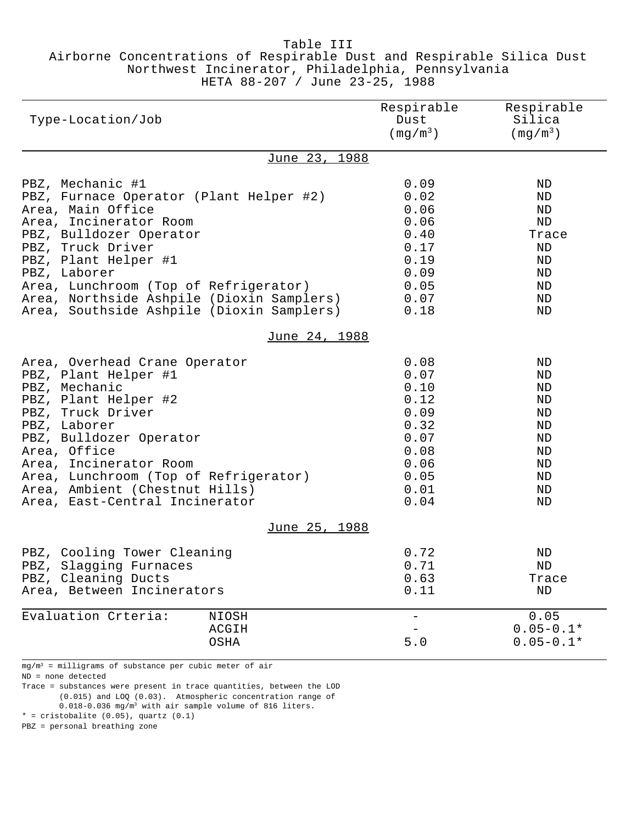### Table III Airborne Concentrations of Respirable Dust and Respirable Silica Dust Northwest Incinerator, Philadelphia, Pennsylvania HETA 88-207 / June 23-25, 1988

| Type-Location/Job                                                                                                                                                                                                                                                                                                                     |                        | Respirable<br>Dust<br>$\left(\frac{m}{3}\right)^{m^3}$                                       | Respirable<br>Silica<br>$(mq/m^3)$                                   |
|---------------------------------------------------------------------------------------------------------------------------------------------------------------------------------------------------------------------------------------------------------------------------------------------------------------------------------------|------------------------|----------------------------------------------------------------------------------------------|----------------------------------------------------------------------|
|                                                                                                                                                                                                                                                                                                                                       | June 23, 1988          |                                                                                              |                                                                      |
| PBZ, Mechanic #1<br>PBZ, Furnace Operator (Plant Helper #2)<br>Area, Main Office<br>Area, Incinerator Room<br>PBZ, Bulldozer Operator<br>PBZ, Truck Driver<br>PBZ, Plant Helper #1<br>PBZ, Laborer<br>Area, Lunchroom (Top of Refrigerator)<br>Area, Northside Ashpile (Dioxin Samplers)<br>Area, Southside Ashpile (Dioxin Samplers) |                        | 0.09<br>0.02<br>0.06<br>0.06<br>0.40<br>0.17<br>0.19<br>0.09<br>0.05<br>0.07<br>0.18         | ND<br>ND<br>ND<br>ND<br>Trace<br>ΝD<br>ND<br>ND<br>ND<br>ND<br>ND    |
|                                                                                                                                                                                                                                                                                                                                       | June 24, 1988          |                                                                                              |                                                                      |
| Area, Overhead Crane Operator<br>PBZ, Plant Helper #1<br>PBZ, Mechanic<br>PBZ, Plant Helper #2<br>PBZ, Truck Driver<br>PBZ, Laborer<br>PBZ, Bulldozer Operator<br>Area, Office<br>Area, Incinerator Room<br>Area, Lunchroom (Top of Refrigerator)<br>Area, Ambient (Chestnut Hills)<br>Area, East-Central Incinerator                 |                        | 0.08<br>0.07<br>0.10<br>0.12<br>0.09<br>0.32<br>0.07<br>0.08<br>0.06<br>0.05<br>0.01<br>0.04 | ND<br>ND<br>ND<br>ND<br>ND<br>ND<br>ND<br>ND<br>ND<br>ND<br>ND<br>ND |
|                                                                                                                                                                                                                                                                                                                                       | <u>June 25, 1988</u>   |                                                                                              |                                                                      |
| PBZ, Cooling Tower Cleaning<br>PBZ, Slagging Furnaces<br>PBZ, Cleaning Ducts<br>Area, Between Incinerators                                                                                                                                                                                                                            |                        | 0.72<br>0.71<br>0.63<br>0.11                                                                 | ND<br>ΝD<br>Trace<br>ΝD                                              |
| Evaluation Crteria:                                                                                                                                                                                                                                                                                                                   | NIOSH<br>ACGIH<br>OSHA | 5.0                                                                                          | 0.05<br>$0.05 - 0.1*$<br>$0.05 - 0.1*$                               |

mg/m<sup>3</sup> = milligrams of substance per cubic meter of air

ND = none detected

Trace = substances were present in trace quantities, between the LOD (0.015) and LOQ (0.03). Atmospheric concentration range of 0.018-0.036 mg/m<sup>3</sup> with air sample volume of 816 liters.  $*$  = cristobalite  $(0.05)$ , quartz  $(0.1)$ 

PBZ = personal breathing zone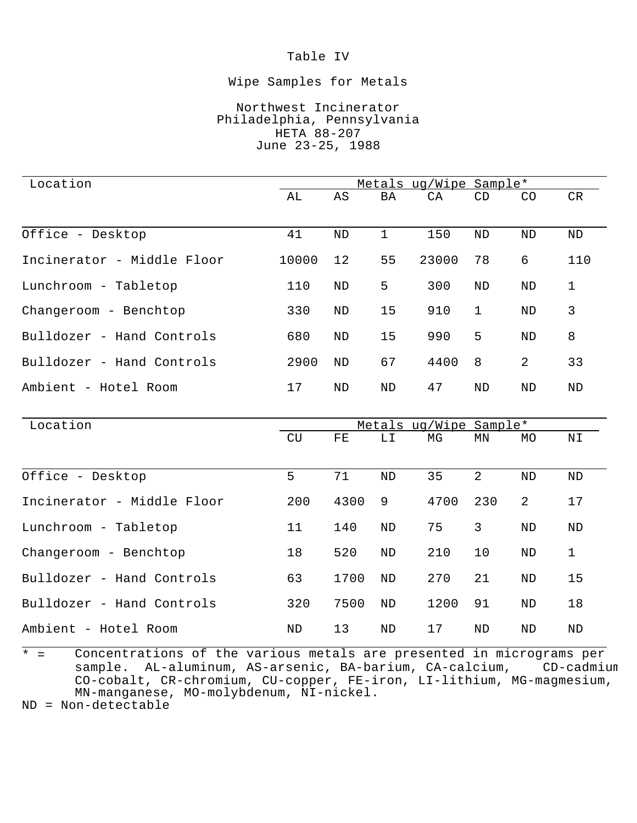## Table IV

### Wipe Samples for Metals

### Northwest Incinerator Philadelphia, Pennsylvania HETA 88-207 June 23-25, 1988

| Location                   |       |           | Metals ug/Wipe Sample* |       |              |                |     |
|----------------------------|-------|-----------|------------------------|-------|--------------|----------------|-----|
|                            | AL    | AS        | BA                     | CA    | CD           | CO.            | CR  |
|                            |       |           |                        |       |              |                |     |
| Office - Desktop           | 41    | ND        | 1                      | 150   | ND           | ND             | ND  |
| Incinerator - Middle Floor | 10000 | 12        | 55                     | 23000 | 78           | 6              | 110 |
| Lunchroom - Tabletop       | 110   | ND        | 5                      | 300   | ND           | ND             | 1   |
| Changeroom - Benchtop      | 330   | <b>ND</b> | 15                     | 910   | $\mathbf{1}$ | <b>ND</b>      | 3   |
| Bulldozer - Hand Controls  | 680   | <b>ND</b> | 15                     | 990   | 5            | <b>ND</b>      | 8   |
| Bulldozer - Hand Controls  | 2900  | ND        | 67                     | 4400  | 8            | $\overline{2}$ | 33  |
| Ambient - Hotel Room       | 17    | ND        | ND                     | 47    | ND           | ND             | ND  |
|                            |       |           |                        |       |              |                |     |

| Location                   |     |      | Metals ug/Wipe Sample* |      |     |    |              |
|----------------------------|-----|------|------------------------|------|-----|----|--------------|
|                            | CU  | FE.  | LΙ                     | МG   | ΜN  | MO | ΝI           |
|                            |     |      |                        |      |     |    |              |
| Office - Desktop           | 5   | 71   | <b>ND</b>              | 35   | 2   | ΝD | ND           |
| Incinerator - Middle Floor | 200 | 4300 | 9                      | 4700 | 230 | 2  | 17           |
| Lunchroom - Tabletop       | 11  | 140  | ND                     | 75   | 3   | ND | ND           |
| Changeroom - Benchtop      | 18  | 520  | ND                     | 210  | 10  | ND | $\mathbf{1}$ |
| Bulldozer - Hand Controls  | 63  | 1700 | ND                     | 270  | 21  | ND | 15           |
| Bulldozer - Hand Controls  | 320 | 7500 | ND                     | 1200 | 91  | ND | 18           |
| Ambient - Hotel Room       | ND  | 13   | <b>ND</b>              | 17   | ND  | ND | ND           |

 $\overline{t}$  = Concentrations of the various metals are presented in micrograms per<br>sample. AL-aluminum, AS-arsenic, BA-barium, CA-calcium, CD-cadmium sample. AL-aluminum, AS-arsenic, BA-barium, CA-calcium, CO-cobalt, CR-chromium, CU-copper, FE-iron, LI-lithium, MG-magmesium, MN-manganese, MO-molybdenum, NI-nickel.

ND = Non-detectable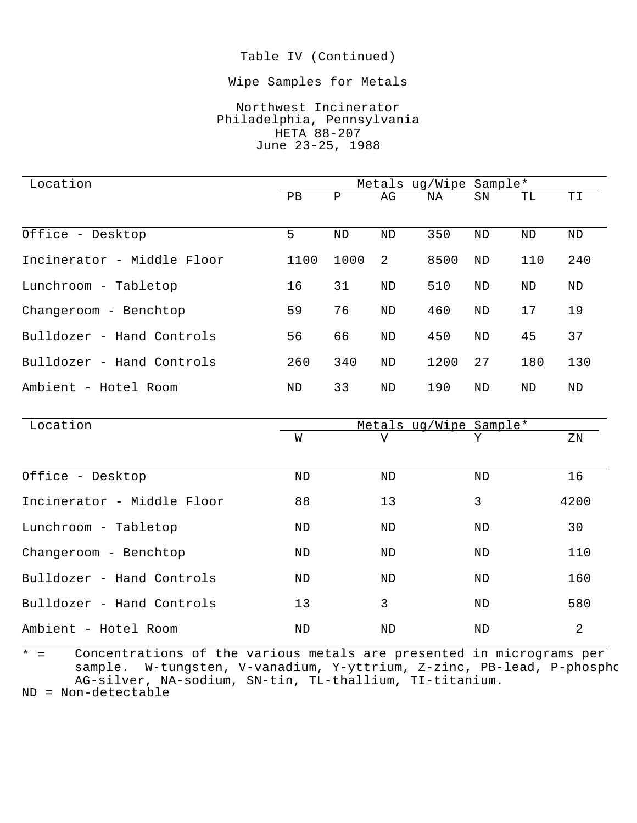### Table IV (Continued)

#### Wipe Samples for Metals

## Northwest Incinerator Philadelphia, Pennsylvania HETA 88-207 June 23-25, 1988

| Location                   |      |      | Metals ug/Wipe Sample* |      |           |     |     |
|----------------------------|------|------|------------------------|------|-----------|-----|-----|
|                            | PВ   | Ρ    | AG                     | ΝA   | SN        | TL  | ТI  |
| Office - Desktop           | 5    | ND   | ND                     | 350  | ND        | ND  | ND  |
| Incinerator - Middle Floor | 1100 | 1000 | 2                      | 8500 | ND        | 110 | 240 |
| Lunchroom - Tabletop       | 16   | 31   | ND                     | 510  | ND        | ND  | ND  |
| Changeroom - Benchtop      | 59   | 76   | ND                     | 460  | ND        | 17  | 19  |
| Bulldozer - Hand Controls  | 56   | 66   | ND                     | 450  | ND        | 45  | 37  |
| Bulldozer - Hand Controls  | 260  | 340  | ND                     | 1200 | 27        | 180 | 130 |
| Ambient - Hotel Room       | ND   | 33   | <b>ND</b>              | 190  | <b>ND</b> | ND  | ND  |

| Location                   | Metals ug/Wipe Sample* |           |    |      |  |  |
|----------------------------|------------------------|-----------|----|------|--|--|
|                            | W                      | V         | Υ  | ΖN   |  |  |
| Office - Desktop           | ND                     | ND        | ND | 16   |  |  |
| Incinerator - Middle Floor | 88                     | 13        | 3  | 4200 |  |  |
| Lunchroom - Tabletop       | ND                     | ND        | ND | 30   |  |  |
| Changeroom - Benchtop      | ND                     | ND        | ND | 110  |  |  |
| Bulldozer - Hand Controls  | ND                     | ND        | ND | 160  |  |  |
| Bulldozer - Hand Controls  | 13                     | 3         | ND | 580  |  |  |
| Ambient - Hotel Room       | ND                     | <b>ND</b> | ND | 2    |  |  |

 $\overline{t}$   $\overline{t}$   $\overline{t}$ Concentrations of the various metals are presented in micrograms per sample. W-tungsten, V-vanadium, Y-yttrium, Z-zinc, PB-lead, P-phosphorus, AG-silver, NA-sodium, SN-tin, TL-thallium, TI-titanium.

ND = Non-detectable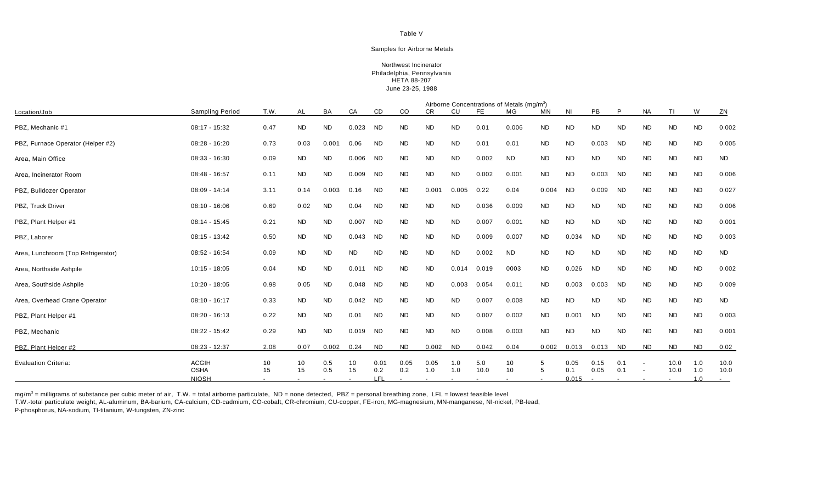#### Table V

#### Samples for Airborne Metals

#### Northwest Incinerator Philadelphia, Pennsylvania HETA 88-207 June 23-25, 1988

|                                    |                             | Airborne Concentrations of Metals (mg/m <sup>3</sup> ) |           |                          |           |             |               |                          |                          |                          |                          |                          |             |                          |            |                                                      |              |            |              |
|------------------------------------|-----------------------------|--------------------------------------------------------|-----------|--------------------------|-----------|-------------|---------------|--------------------------|--------------------------|--------------------------|--------------------------|--------------------------|-------------|--------------------------|------------|------------------------------------------------------|--------------|------------|--------------|
| Location/Job                       | <b>Sampling Period</b>      | T.W.                                                   | <b>AL</b> | BA                       | CA        | CD          | <sub>co</sub> | <b>CR</b>                | CU                       | FE.                      | MG                       | <b>MN</b>                | <b>NI</b>   | PB.                      | P          | <b>NA</b>                                            | TΙ           | W          | ZN           |
| PBZ, Mechanic #1                   | 08:17 - 15:32               | 0.47                                                   | <b>ND</b> | <b>ND</b>                | 0.023     | <b>ND</b>   | <b>ND</b>     | <b>ND</b>                | <b>ND</b>                | 0.01                     | 0.006                    | <b>ND</b>                | <b>ND</b>   | <b>ND</b>                | <b>ND</b>  | <b>ND</b>                                            | <b>ND</b>    | <b>ND</b>  | 0.002        |
| PBZ, Furnace Operator (Helper #2)  | 08:28 - 16:20               | 0.73                                                   | 0.03      | 0.001                    | 0.06      | <b>ND</b>   | <b>ND</b>     | <b>ND</b>                | <b>ND</b>                | 0.01                     | 0.01                     | <b>ND</b>                | <b>ND</b>   | 0.003                    | <b>ND</b>  | <b>ND</b>                                            | <b>ND</b>    | <b>ND</b>  | 0.005        |
| Area, Main Office                  | 08:33 - 16:30               | 0.09                                                   | <b>ND</b> | <b>ND</b>                | 0.006     | <b>ND</b>   | <b>ND</b>     | <b>ND</b>                | <b>ND</b>                | 0.002                    | <b>ND</b>                | <b>ND</b>                | <b>ND</b>   | <b>ND</b>                | <b>ND</b>  | <b>ND</b>                                            | <b>ND</b>    | <b>ND</b>  | <b>ND</b>    |
| Area, Incinerator Room             | 08:48 - 16:57               | 0.11                                                   | <b>ND</b> | <b>ND</b>                | 0.009     | <b>ND</b>   | <b>ND</b>     | <b>ND</b>                | <b>ND</b>                | 0.002                    | 0.001                    | <b>ND</b>                | <b>ND</b>   | 0.003                    | <b>ND</b>  | <b>ND</b>                                            | <b>ND</b>    | <b>ND</b>  | 0.006        |
| PBZ, Bulldozer Operator            | 08:09 - 14:14               | 3.11                                                   | 0.14      | 0.003                    | 0.16      | <b>ND</b>   | <b>ND</b>     | 0.001                    | 0.005                    | 0.22                     | 0.04                     | 0.004                    | <b>ND</b>   | 0.009                    | <b>ND</b>  | <b>ND</b>                                            | <b>ND</b>    | <b>ND</b>  | 0.027        |
| PBZ, Truck Driver                  | $08:10 - 16:06$             | 0.69                                                   | 0.02      | <b>ND</b>                | 0.04      | <b>ND</b>   | <b>ND</b>     | <b>ND</b>                | <b>ND</b>                | 0.036                    | 0.009                    | <b>ND</b>                | <b>ND</b>   | <b>ND</b>                | <b>ND</b>  | <b>ND</b>                                            | <b>ND</b>    | <b>ND</b>  | 0.006        |
| PBZ, Plant Helper #1               | $08:14 - 15:45$             | 0.21                                                   | <b>ND</b> | <b>ND</b>                | 0.007     | <b>ND</b>   | <b>ND</b>     | <b>ND</b>                | <b>ND</b>                | 0.007                    | 0.001                    | <b>ND</b>                | <b>ND</b>   | <b>ND</b>                | <b>ND</b>  | <b>ND</b>                                            | <b>ND</b>    | <b>ND</b>  | 0.001        |
| PBZ, Laborer                       | 08:15 - 13:42               | 0.50                                                   | <b>ND</b> | <b>ND</b>                | 0.043     | <b>ND</b>   | <b>ND</b>     | <b>ND</b>                | <b>ND</b>                | 0.009                    | 0.007                    | <b>ND</b>                | 0.034       | <b>ND</b>                | <b>ND</b>  | <b>ND</b>                                            | <b>ND</b>    | <b>ND</b>  | 0.003        |
| Area, Lunchroom (Top Refrigerator) | 08:52 - 16:54               | 0.09                                                   | <b>ND</b> | <b>ND</b>                | <b>ND</b> | <b>ND</b>   | <b>ND</b>     | <b>ND</b>                | <b>ND</b>                | 0.002                    | <b>ND</b>                | <b>ND</b>                | <b>ND</b>   | <b>ND</b>                | <b>ND</b>  | <b>ND</b>                                            | <b>ND</b>    | <b>ND</b>  | <b>ND</b>    |
| Area, Northside Ashpile            | $10:15 - 18:05$             | 0.04                                                   | <b>ND</b> | <b>ND</b>                | 0.011     | <b>ND</b>   | <b>ND</b>     | <b>ND</b>                | 0.014                    | 0.019                    | 0003                     | <b>ND</b>                | 0.026       | <b>ND</b>                | <b>ND</b>  | <b>ND</b>                                            | <b>ND</b>    | <b>ND</b>  | 0.002        |
| Area, Southside Ashpile            | 10:20 - 18:05               | 0.98                                                   | 0.05      | <b>ND</b>                | 0.048     | <b>ND</b>   | <b>ND</b>     | <b>ND</b>                | 0.003                    | 0.054                    | 0.011                    | <b>ND</b>                | 0.003       | 0.003                    | <b>ND</b>  | <b>ND</b>                                            | <b>ND</b>    | <b>ND</b>  | 0.009        |
| Area, Overhead Crane Operator      | $08:10 - 16:17$             | 0.33                                                   | <b>ND</b> | <b>ND</b>                | 0.042     | <b>ND</b>   | <b>ND</b>     | <b>ND</b>                | <b>ND</b>                | 0.007                    | 0.008                    | <b>ND</b>                | <b>ND</b>   | <b>ND</b>                | <b>ND</b>  | <b>ND</b>                                            | <b>ND</b>    | <b>ND</b>  | <b>ND</b>    |
| PBZ, Plant Helper #1               | $08:20 - 16:13$             | 0.22                                                   | <b>ND</b> | <b>ND</b>                | 0.01      | <b>ND</b>   | <b>ND</b>     | <b>ND</b>                | <b>ND</b>                | 0.007                    | 0.002                    | <b>ND</b>                | 0.001       | <b>ND</b>                | <b>ND</b>  | <b>ND</b>                                            | <b>ND</b>    | <b>ND</b>  | 0.003        |
| PBZ, Mechanic                      | $08:22 - 15:42$             | 0.29                                                   | <b>ND</b> | <b>ND</b>                | 0.019     | <b>ND</b>   | <b>ND</b>     | <b>ND</b>                | <b>ND</b>                | 0.008                    | 0.003                    | <b>ND</b>                | <b>ND</b>   | <b>ND</b>                | <b>ND</b>  | <b>ND</b>                                            | <b>ND</b>    | <b>ND</b>  | 0.001        |
| PBZ, Plant Helper #2               | 08:23 - 12:37               | 2.08                                                   | 0.07      | 0.002                    | 0.24      | <b>ND</b>   | <b>ND</b>     | 0.002                    | <b>ND</b>                | 0.042                    | 0.04                     | 0.002                    | 0.013       | 0.013                    | <b>ND</b>  | <b>ND</b>                                            | <b>ND</b>    | <b>ND</b>  | 0.02         |
| <b>Evaluation Criteria:</b>        | <b>ACGIH</b><br><b>OSHA</b> | 10<br>15                                               | 10<br>15  | 0.5<br>0.5               | 10<br>15  | 0.01<br>0.2 | 0.05<br>0.2   | 0.05<br>1.0              | 1.0<br>1.0               | 5.0<br>10.0              | 10<br>10                 | 5<br>5                   | 0.05<br>0.1 | 0.15<br>0.05             | 0.1<br>0.1 | $\overline{\phantom{a}}$<br>$\overline{\phantom{a}}$ | 10.0<br>10.0 | 1.0<br>1.0 | 10.0<br>10.0 |
|                                    | <b>NIOSH</b>                | $\sim$                                                 |           | $\overline{\phantom{a}}$ |           | LFL         |               | $\overline{\phantom{a}}$ | $\overline{\phantom{a}}$ | $\overline{\phantom{a}}$ | $\overline{\phantom{a}}$ | $\overline{\phantom{a}}$ | 0.015       | $\overline{\phantom{0}}$ | $\sim$     | $\overline{\phantom{a}}$                             |              | 1.0        | $\sim$       |

mg/m<sup>3</sup> = milligrams of substance per cubic meter of air, T.W. = total airborne particulate, ND = none detected, PBZ = personal breathing zone, LFL = lowest feasible level

T.W.-total particulate weight, AL-aluminum, BA-barium, CA-calcium, CD-cadmium, CO-cobalt, CR-chromium, CU-copper, FE-iron, MG-magnesium, MN-manganese, NI-nickel, PB-lead, P-phosphorus, NA-sodium, TI-titanium, W-tungsten, ZN-zinc